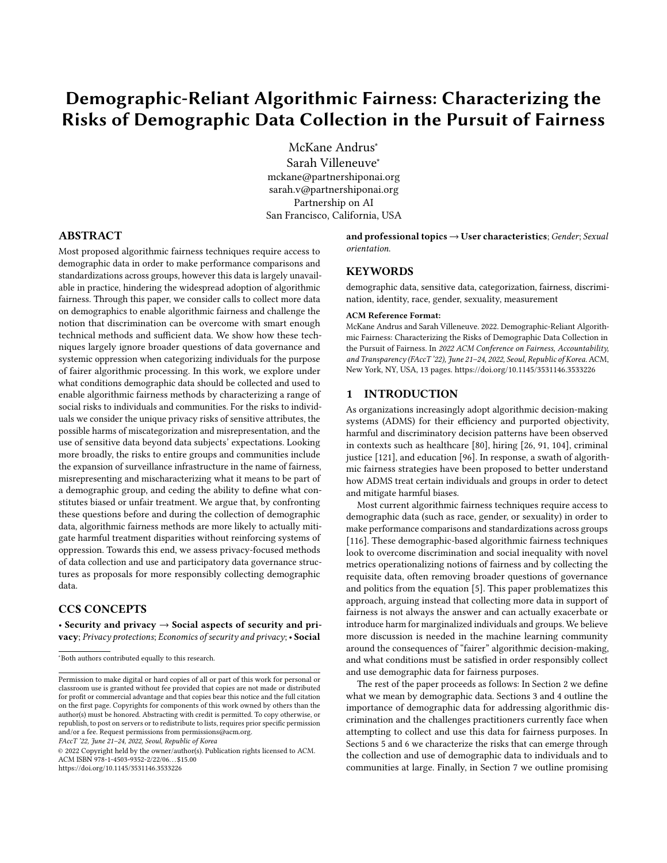# Demographic-Reliant Algorithmic Fairness: Characterizing the Risks of Demographic Data Collection in the Pursuit of Fairness

[McKane Andrus](https://orcid.org/0000-0003-0543-3609)<sup>∗</sup> [Sarah Villeneuve](https://orcid.org/0000-0001-7804-6031)<sup>∗</sup> mckane@partnershiponai.org sarah.v@partnershiponai.org Partnership on AI San Francisco, California, USA

#### ABSTRACT

Most proposed algorithmic fairness techniques require access to demographic data in order to make performance comparisons and standardizations across groups, however this data is largely unavailable in practice, hindering the widespread adoption of algorithmic fairness. Through this paper, we consider calls to collect more data on demographics to enable algorithmic fairness and challenge the notion that discrimination can be overcome with smart enough technical methods and sufficient data. We show how these techniques largely ignore broader questions of data governance and systemic oppression when categorizing individuals for the purpose of fairer algorithmic processing. In this work, we explore under what conditions demographic data should be collected and used to enable algorithmic fairness methods by characterizing a range of social risks to individuals and communities. For the risks to individuals we consider the unique privacy risks of sensitive attributes, the possible harms of miscategorization and misrepresentation, and the use of sensitive data beyond data subjects' expectations. Looking more broadly, the risks to entire groups and communities include the expansion of surveillance infrastructure in the name of fairness, misrepresenting and mischaracterizing what it means to be part of a demographic group, and ceding the ability to define what constitutes biased or unfair treatment. We argue that, by confronting these questions before and during the collection of demographic data, algorithmic fairness methods are more likely to actually mitigate harmful treatment disparities without reinforcing systems of oppression. Towards this end, we assess privacy-focused methods of data collection and use and participatory data governance structures as proposals for more responsibly collecting demographic data.

#### CCS CONCEPTS

• Security and privacy  $\rightarrow$  Social aspects of security and privacy; Privacy protections; Economics of security and privacy; • Social

FAccT '22, June 21–24, 2022, Seoul, Republic of Korea

© 2022 Copyright held by the owner/author(s). Publication rights licensed to ACM. ACM ISBN 978-1-4503-9352-2/22/06. . . \$15.00 <https://doi.org/10.1145/3531146.3533226>

and professional topics  $\rightarrow$  User characteristics; Gender; Sexual orientation.

#### **KEYWORDS**

demographic data, sensitive data, categorization, fairness, discrimination, identity, race, gender, sexuality, measurement

#### ACM Reference Format:

McKane Andrus and Sarah Villeneuve. 2022. Demographic-Reliant Algorithmic Fairness: Characterizing the Risks of Demographic Data Collection in the Pursuit of Fairness. In 2022 ACM Conference on Fairness, Accountability, and Transparency (FAccT '22), June 21–24, 2022, Seoul, Republic of Korea. ACM, New York, NY, USA, [13](#page-12-0) pages.<https://doi.org/10.1145/3531146.3533226>

#### 1 INTRODUCTION

As organizations increasingly adopt algorithmic decision-making systems (ADMS) for their efficiency and purported objectivity, harmful and discriminatory decision patterns have been observed in contexts such as healthcare [\[80\]](#page-11-0), hiring [\[26,](#page-10-0) [91,](#page-11-1) [104\]](#page-12-1), criminal justice [\[121\]](#page-12-2), and education [\[96\]](#page-12-3). In response, a swath of algorithmic fairness strategies have been proposed to better understand how ADMS treat certain individuals and groups in order to detect and mitigate harmful biases.

Most current algorithmic fairness techniques require access to demographic data (such as race, gender, or sexuality) in order to make performance comparisons and standardizations across groups [\[116\]](#page-12-4). These demographic-based algorithmic fairness techniques look to overcome discrimination and social inequality with novel metrics operationalizing notions of fairness and by collecting the requisite data, often removing broader questions of governance and politics from the equation [\[5\]](#page-9-0). This paper problematizes this approach, arguing instead that collecting more data in support of fairness is not always the answer and can actually exacerbate or introduce harm for marginalized individuals and groups. We believe more discussion is needed in the machine learning community around the consequences of "fairer" algorithmic decision-making, and what conditions must be satisfied in order responsibly collect and use demographic data for fairness purposes.

The rest of the paper proceeds as follows: In Section [2](#page-1-0) we define what we mean by demographic data. Sections [3](#page-1-1) and [4](#page-2-0) outline the importance of demographic data for addressing algorithmic discrimination and the challenges practitioners currently face when attempting to collect and use this data for fairness purposes. In Sections [5](#page-3-0) and [6](#page-5-0) we characterize the risks that can emerge through the collection and use of demographic data to individuals and to communities at large. Finally, in Section [7](#page-8-0) we outline promising

<sup>∗</sup>Both authors contributed equally to this research.

Permission to make digital or hard copies of all or part of this work for personal or classroom use is granted without fee provided that copies are not made or distributed for profit or commercial advantage and that copies bear this notice and the full citation on the first page. Copyrights for components of this work owned by others than the author(s) must be honored. Abstracting with credit is permitted. To copy otherwise, or republish, to post on servers or to redistribute to lists, requires prior specific permission and/or a fee. Request permissions from permissions@acm.org.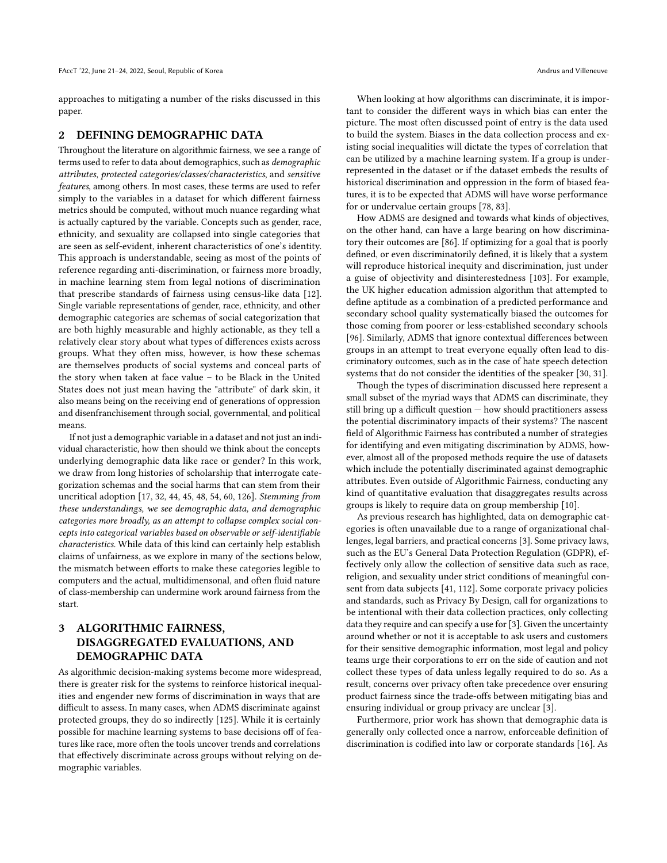approaches to mitigating a number of the risks discussed in this paper.

#### <span id="page-1-0"></span>2 DEFINING DEMOGRAPHIC DATA

Throughout the literature on algorithmic fairness, we see a range of terms used to refer to data about demographics, such as demographic attributes, protected categories/classes/characteristics, and sensitive features, among others. In most cases, these terms are used to refer simply to the variables in a dataset for which different fairness metrics should be computed, without much nuance regarding what is actually captured by the variable. Concepts such as gender, race, ethnicity, and sexuality are collapsed into single categories that are seen as self-evident, inherent characteristics of one's identity. This approach is understandable, seeing as most of the points of reference regarding anti-discrimination, or fairness more broadly, in machine learning stem from legal notions of discrimination that prescribe standards of fairness using census-like data [\[12\]](#page-10-1). Single variable representations of gender, race, ethnicity, and other demographic categories are schemas of social categorization that are both highly measurable and highly actionable, as they tell a relatively clear story about what types of differences exists across groups. What they often miss, however, is how these schemas are themselves products of social systems and conceal parts of the story when taken at face value – to be Black in the United States does not just mean having the "attribute" of dark skin, it also means being on the receiving end of generations of oppression and disenfranchisement through social, governmental, and political means.

If not just a demographic variable in a dataset and not just an individual characteristic, how then should we think about the concepts underlying demographic data like race or gender? In this work, we draw from long histories of scholarship that interrogate categorization schemas and the social harms that can stem from their uncritical adoption [\[17,](#page-10-2) [32,](#page-10-3) [44,](#page-10-4) [45,](#page-10-5) [48,](#page-10-6) [54,](#page-11-2) [60,](#page-11-3) [126\]](#page-12-5). Stemming from these understandings, we see demographic data, and demographic categories more broadly, as an attempt to collapse complex social concepts into categorical variables based on observable or self-identifiable characteristics. While data of this kind can certainly help establish claims of unfairness, as we explore in many of the sections below, the mismatch between efforts to make these categories legible to computers and the actual, multidimensonal, and often fluid nature of class-membership can undermine work around fairness from the start.

## <span id="page-1-1"></span>3 ALGORITHMIC FAIRNESS, DISAGGREGATED EVALUATIONS, AND DEMOGRAPHIC DATA

As algorithmic decision-making systems become more widespread, there is greater risk for the systems to reinforce historical inequalities and engender new forms of discrimination in ways that are difficult to assess. In many cases, when ADMS discriminate against protected groups, they do so indirectly [\[125\]](#page-12-6). While it is certainly possible for machine learning systems to base decisions off of features like race, more often the tools uncover trends and correlations that effectively discriminate across groups without relying on demographic variables.

When looking at how algorithms can discriminate, it is important to consider the different ways in which bias can enter the picture. The most often discussed point of entry is the data used to build the system. Biases in the data collection process and existing social inequalities will dictate the types of correlation that can be utilized by a machine learning system. If a group is underrepresented in the dataset or if the dataset embeds the results of historical discrimination and oppression in the form of biased features, it is to be expected that ADMS will have worse performance for or undervalue certain groups [\[78,](#page-11-4) [83\]](#page-11-5).

How ADMS are designed and towards what kinds of objectives, on the other hand, can have a large bearing on how discriminatory their outcomes are [\[86\]](#page-11-6). If optimizing for a goal that is poorly defined, or even discriminatorily defined, it is likely that a system will reproduce historical inequity and discrimination, just under a guise of objectivity and disinterestedness [\[103\]](#page-12-7). For example, the UK higher education admission algorithm that attempted to define aptitude as a combination of a predicted performance and secondary school quality systematically biased the outcomes for those coming from poorer or less-established secondary schools [\[96\]](#page-12-3). Similarly, ADMS that ignore contextual differences between groups in an attempt to treat everyone equally often lead to discriminatory outcomes, such as in the case of hate speech detection systems that do not consider the identities of the speaker [\[30,](#page-10-7) [31\]](#page-10-8).

Though the types of discrimination discussed here represent a small subset of the myriad ways that ADMS can discriminate, they still bring up a difficult question — how should practitioners assess the potential discriminatory impacts of their systems? The nascent field of Algorithmic Fairness has contributed a number of strategies for identifying and even mitigating discrimination by ADMS, however, almost all of the proposed methods require the use of datasets which include the potentially discriminated against demographic attributes. Even outside of Algorithmic Fairness, conducting any kind of quantitative evaluation that disaggregates results across groups is likely to require data on group membership [\[10\]](#page-10-9).

As previous research has highlighted, data on demographic categories is often unavailable due to a range of organizational challenges, legal barriers, and practical concerns [\[3\]](#page-9-1). Some privacy laws, such as the EU's General Data Protection Regulation (GDPR), effectively only allow the collection of sensitive data such as race, religion, and sexuality under strict conditions of meaningful consent from data subjects [\[41,](#page-10-10) [112\]](#page-12-8). Some corporate privacy policies and standards, such as Privacy By Design, call for organizations to be intentional with their data collection practices, only collecting data they require and can specify a use for [\[3\]](#page-9-1). Given the uncertainty around whether or not it is acceptable to ask users and customers for their sensitive demographic information, most legal and policy teams urge their corporations to err on the side of caution and not collect these types of data unless legally required to do so. As a result, concerns over privacy often take precedence over ensuring product fairness since the trade-offs between mitigating bias and ensuring individual or group privacy are unclear [\[3\]](#page-9-1).

Furthermore, prior work has shown that demographic data is generally only collected once a narrow, enforceable definition of discrimination is codified into law or corporate standards [\[16\]](#page-10-11). As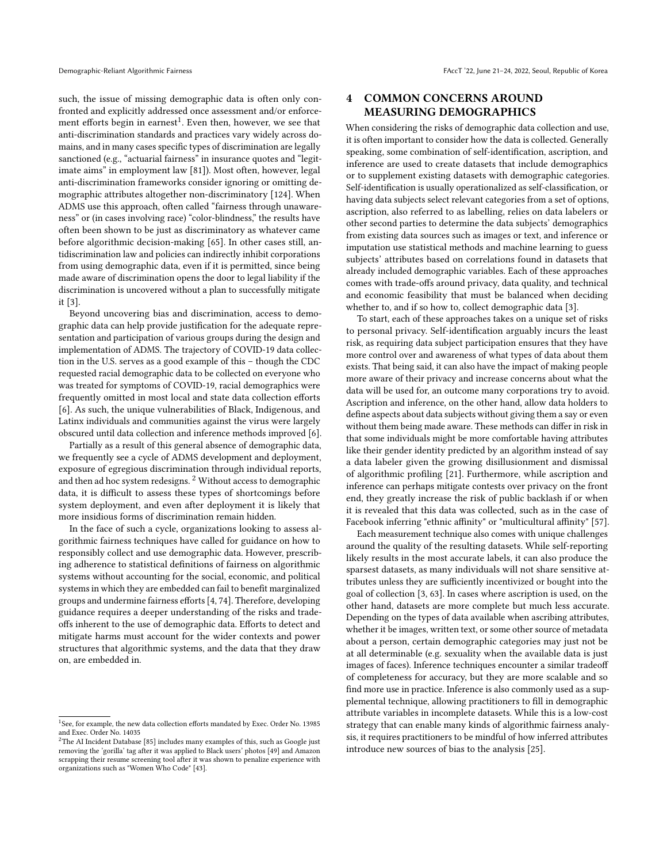such, the issue of missing demographic data is often only confronted and explicitly addressed once assessment and/or enforcement efforts begin in earnest $^1$  $^1$ . Even then, however, we see that anti-discrimination standards and practices vary widely across domains, and in many cases specific types of discrimination are legally sanctioned (e.g., "actuarial fairness" in insurance quotes and "legitimate aims" in employment law [\[81\]](#page-11-7)). Most often, however, legal anti-discrimination frameworks consider ignoring or omitting demographic attributes altogether non-discriminatory [\[124\]](#page-12-9). When ADMS use this approach, often called "fairness through unawareness" or (in cases involving race) "color-blindness," the results have often been shown to be just as discriminatory as whatever came before algorithmic decision-making [\[65\]](#page-11-8). In other cases still, antidiscrimination law and policies can indirectly inhibit corporations from using demographic data, even if it is permitted, since being made aware of discrimination opens the door to legal liability if the discrimination is uncovered without a plan to successfully mitigate it [\[3\]](#page-9-1).

Beyond uncovering bias and discrimination, access to demographic data can help provide justification for the adequate representation and participation of various groups during the design and implementation of ADMS. The trajectory of COVID-19 data collection in the U.S. serves as a good example of this – though the CDC requested racial demographic data to be collected on everyone who was treated for symptoms of COVID-19, racial demographics were frequently omitted in most local and state data collection efforts [\[6\]](#page-9-2). As such, the unique vulnerabilities of Black, Indigenous, and Latinx individuals and communities against the virus were largely obscured until data collection and inference methods improved [\[6\]](#page-9-2).

Partially as a result of this general absence of demographic data, we frequently see a cycle of ADMS development and deployment, exposure of egregious discrimination through individual reports, and then ad hoc system redesigns.  $2$  Without access to demographic data, it is difficult to assess these types of shortcomings before system deployment, and even after deployment it is likely that more insidious forms of discrimination remain hidden.

In the face of such a cycle, organizations looking to assess algorithmic fairness techniques have called for guidance on how to responsibly collect and use demographic data. However, prescribing adherence to statistical definitions of fairness on algorithmic systems without accounting for the social, economic, and political systems in which they are embedded can fail to benefit marginalized groups and undermine fairness efforts [\[4,](#page-9-3) [74\]](#page-11-9). Therefore, developing guidance requires a deeper understanding of the risks and tradeoffs inherent to the use of demographic data. Efforts to detect and mitigate harms must account for the wider contexts and power structures that algorithmic systems, and the data that they draw on, are embedded in.

## <span id="page-2-0"></span>4 COMMON CONCERNS AROUND MEASURING DEMOGRAPHICS

When considering the risks of demographic data collection and use, it is often important to consider how the data is collected. Generally speaking, some combination of self-identification, ascription, and inference are used to create datasets that include demographics or to supplement existing datasets with demographic categories. Self-identification is usually operationalized as self-classification, or having data subjects select relevant categories from a set of options, ascription, also referred to as labelling, relies on data labelers or other second parties to determine the data subjects' demographics from existing data sources such as images or text, and inference or imputation use statistical methods and machine learning to guess subjects' attributes based on correlations found in datasets that already included demographic variables. Each of these approaches comes with trade-offs around privacy, data quality, and technical and economic feasibility that must be balanced when deciding whether to, and if so how to, collect demographic data [\[3\]](#page-9-1).

To start, each of these approaches takes on a unique set of risks to personal privacy. Self-identification arguably incurs the least risk, as requiring data subject participation ensures that they have more control over and awareness of what types of data about them exists. That being said, it can also have the impact of making people more aware of their privacy and increase concerns about what the data will be used for, an outcome many corporations try to avoid. Ascription and inference, on the other hand, allow data holders to define aspects about data subjects without giving them a say or even without them being made aware. These methods can differ in risk in that some individuals might be more comfortable having attributes like their gender identity predicted by an algorithm instead of say a data labeler given the growing disillusionment and dismissal of algorithmic profiling [\[21\]](#page-10-14). Furthermore, while ascription and inference can perhaps mitigate contests over privacy on the front end, they greatly increase the risk of public backlash if or when it is revealed that this data was collected, such as in the case of Facebook inferring "ethnic affinity" or "multicultural affinity" [\[57\]](#page-11-11).

Each measurement technique also comes with unique challenges around the quality of the resulting datasets. While self-reporting likely results in the most accurate labels, it can also produce the sparsest datasets, as many individuals will not share sensitive attributes unless they are sufficiently incentivized or bought into the goal of collection [\[3,](#page-9-1) [63\]](#page-11-12). In cases where ascription is used, on the other hand, datasets are more complete but much less accurate. Depending on the types of data available when ascribing attributes, whether it be images, written text, or some other source of metadata about a person, certain demographic categories may just not be at all determinable (e.g. sexuality when the available data is just images of faces). Inference techniques encounter a similar tradeoff of completeness for accuracy, but they are more scalable and so find more use in practice. Inference is also commonly used as a supplemental technique, allowing practitioners to fill in demographic attribute variables in incomplete datasets. While this is a low-cost strategy that can enable many kinds of algorithmic fairness analysis, it requires practitioners to be mindful of how inferred attributes introduce new sources of bias to the analysis [\[25\]](#page-10-15).

<span id="page-2-1"></span><sup>&</sup>lt;sup>1</sup>See, for example, the new data collection efforts mandated by [Exec. Order No. 13985](https://www.federalregister.gov/documents/2021/01/25/2021-01753/advancing-racial-equity-and-support-for-underserved-communities-through-the-federal-government)

<span id="page-2-2"></span>and [Exec. Order No. 14035](https://www.federalregister.gov/documents/2021/06/30/2021-14127/diversity-equity-inclusion-and-accessibility-in-the-federal-workforce) <sup>2</sup>The AI Incident Database [\[85\]](#page-11-10) includes many examples of this, such as Google just removing the 'gorilla' tag after it was applied to Black users' photos [\[49\]](#page-10-12) and Amazon scrapping their resume screening tool after it was shown to penalize experience with organizations such as "Women Who Code" [\[43\]](#page-10-13).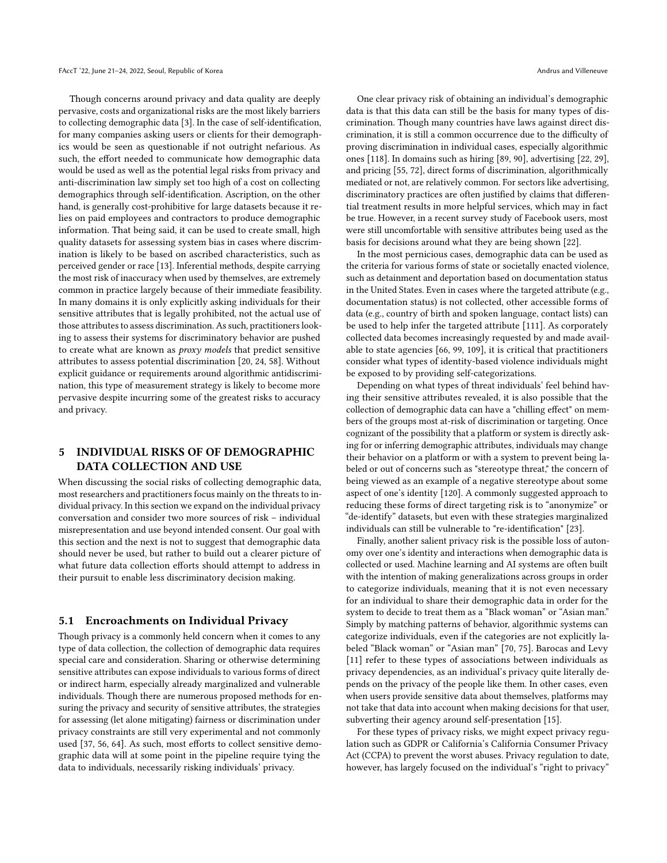Though concerns around privacy and data quality are deeply pervasive, costs and organizational risks are the most likely barriers to collecting demographic data [\[3\]](#page-9-1). In the case of self-identification, for many companies asking users or clients for their demographics would be seen as questionable if not outright nefarious. As such, the effort needed to communicate how demographic data would be used as well as the potential legal risks from privacy and anti-discrimination law simply set too high of a cost on collecting demographics through self-identification. Ascription, on the other hand, is generally cost-prohibitive for large datasets because it relies on paid employees and contractors to produce demographic information. That being said, it can be used to create small, high quality datasets for assessing system bias in cases where discrimination is likely to be based on ascribed characteristics, such as perceived gender or race [\[13\]](#page-10-16). Inferential methods, despite carrying the most risk of inaccuracy when used by themselves, are extremely common in practice largely because of their immediate feasibility. In many domains it is only explicitly asking individuals for their sensitive attributes that is legally prohibited, not the actual use of those attributes to assess discrimination. As such, practitioners looking to assess their systems for discriminatory behavior are pushed to create what are known as proxy models that predict sensitive attributes to assess potential discrimination [\[20,](#page-10-17) [24,](#page-10-18) [58\]](#page-11-13). Without explicit guidance or requirements around algorithmic antidiscrimination, this type of measurement strategy is likely to become more pervasive despite incurring some of the greatest risks to accuracy and privacy.

## <span id="page-3-0"></span>5 INDIVIDUAL RISKS OF OF DEMOGRAPHIC DATA COLLECTION AND USE

When discussing the social risks of collecting demographic data, most researchers and practitioners focus mainly on the threats to individual privacy. In this section we expand on the individual privacy conversation and consider two more sources of risk – individual misrepresentation and use beyond intended consent. Our goal with this section and the next is not to suggest that demographic data should never be used, but rather to build out a clearer picture of what future data collection efforts should attempt to address in their pursuit to enable less discriminatory decision making.

#### 5.1 Encroachments on Individual Privacy

Though privacy is a commonly held concern when it comes to any type of data collection, the collection of demographic data requires special care and consideration. Sharing or otherwise determining sensitive attributes can expose individuals to various forms of direct or indirect harm, especially already marginalized and vulnerable individuals. Though there are numerous proposed methods for ensuring the privacy and security of sensitive attributes, the strategies for assessing (let alone mitigating) fairness or discrimination under privacy constraints are still very experimental and not commonly used [\[37,](#page-10-19) [56,](#page-11-14) [64\]](#page-11-15). As such, most efforts to collect sensitive demographic data will at some point in the pipeline require tying the data to individuals, necessarily risking individuals' privacy.

One clear privacy risk of obtaining an individual's demographic data is that this data can still be the basis for many types of discrimination. Though many countries have laws against direct discrimination, it is still a common occurrence due to the difficulty of proving discrimination in individual cases, especially algorithmic ones [\[118\]](#page-12-10). In domains such as hiring [\[89,](#page-11-16) [90\]](#page-11-17), advertising [\[22,](#page-10-20) [29\]](#page-10-21), and pricing [\[55,](#page-11-18) [72\]](#page-11-19), direct forms of discrimination, algorithmically mediated or not, are relatively common. For sectors like advertising, discriminatory practices are often justified by claims that differential treatment results in more helpful services, which may in fact be true. However, in a recent survey study of Facebook users, most were still uncomfortable with sensitive attributes being used as the basis for decisions around what they are being shown [\[22\]](#page-10-20).

In the most pernicious cases, demographic data can be used as the criteria for various forms of state or societally enacted violence, such as detainment and deportation based on documentation status in the United States. Even in cases where the targeted attribute (e.g., documentation status) is not collected, other accessible forms of data (e.g., country of birth and spoken language, contact lists) can be used to help infer the targeted attribute [\[111\]](#page-12-11). As corporately collected data becomes increasingly requested by and made available to state agencies [\[66,](#page-11-20) [99,](#page-12-12) [109\]](#page-12-13), it is critical that practitioners consider what types of identity-based violence individuals might be exposed to by providing self-categorizations.

Depending on what types of threat individuals' feel behind having their sensitive attributes revealed, it is also possible that the collection of demographic data can have a "chilling effect" on members of the groups most at-risk of discrimination or targeting. Once cognizant of the possibility that a platform or system is directly asking for or inferring demographic attributes, individuals may change their behavior on a platform or with a system to prevent being labeled or out of concerns such as "stereotype threat," the concern of being viewed as an example of a negative stereotype about some aspect of one's identity [\[120\]](#page-12-14). A commonly suggested approach to reducing these forms of direct targeting risk is to "anonymize" or "de-identify" datasets, but even with these strategies marginalized individuals can still be vulnerable to "re-identification" [\[23\]](#page-10-22).

Finally, another salient privacy risk is the possible loss of autonomy over one's identity and interactions when demographic data is collected or used. Machine learning and AI systems are often built with the intention of making generalizations across groups in order to categorize individuals, meaning that it is not even necessary for an individual to share their demographic data in order for the system to decide to treat them as a "Black woman" or "Asian man." Simply by matching patterns of behavior, algorithmic systems can categorize individuals, even if the categories are not explicitly labeled "Black woman" or "Asian man" [\[70,](#page-11-21) [75\]](#page-11-22). Barocas and Levy [\[11\]](#page-10-23) refer to these types of associations between individuals as privacy dependencies, as an individual's privacy quite literally depends on the privacy of the people like them. In other cases, even when users provide sensitive data about themselves, platforms may not take that data into account when making decisions for that user, subverting their agency around self-presentation [\[15\]](#page-10-24).

For these types of privacy risks, we might expect privacy regulation such as GDPR or California's California Consumer Privacy Act (CCPA) to prevent the worst abuses. Privacy regulation to date, however, has largely focused on the individual's "right to privacy"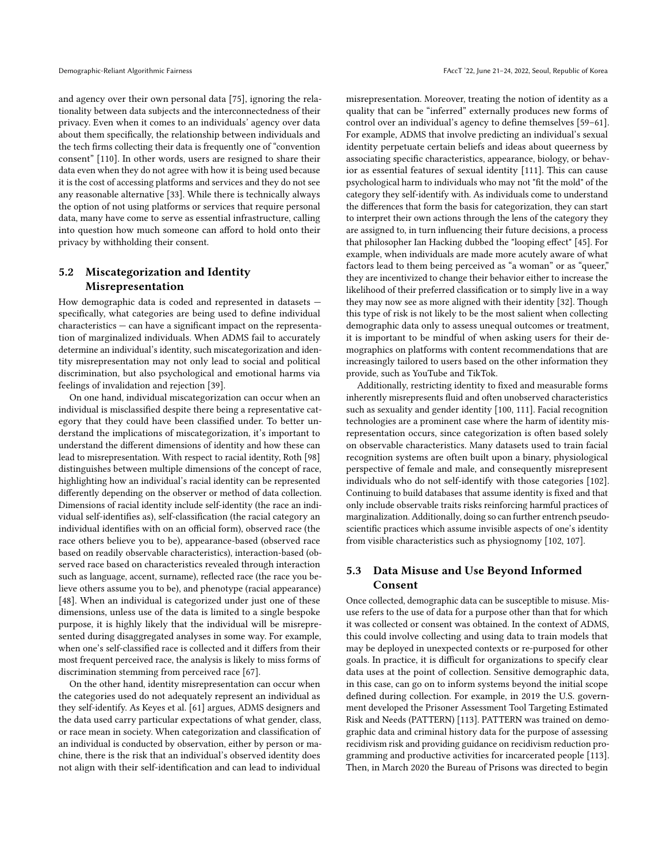and agency over their own personal data [\[75\]](#page-11-22), ignoring the relationality between data subjects and the interconnectedness of their privacy. Even when it comes to an individuals' agency over data about them specifically, the relationship between individuals and the tech firms collecting their data is frequently one of "convention consent" [\[110\]](#page-12-15). In other words, users are resigned to share their data even when they do not agree with how it is being used because it is the cost of accessing platforms and services and they do not see any reasonable alternative [\[33\]](#page-10-25). While there is technically always the option of not using platforms or services that require personal data, many have come to serve as essential infrastructure, calling into question how much someone can afford to hold onto their privacy by withholding their consent.

#### <span id="page-4-0"></span>5.2 Miscategorization and Identity Misrepresentation

How demographic data is coded and represented in datasets specifically, what categories are being used to define individual characteristics — can have a significant impact on the representation of marginalized individuals. When ADMS fail to accurately determine an individual's identity, such miscategorization and identity misrepresentation may not only lead to social and political discrimination, but also psychological and emotional harms via feelings of invalidation and rejection [\[39\]](#page-10-26).

On one hand, individual miscategorization can occur when an individual is misclassified despite there being a representative category that they could have been classified under. To better understand the implications of miscategorization, it's important to understand the different dimensions of identity and how these can lead to misrepresentation. With respect to racial identity, Roth [\[98\]](#page-12-16) distinguishes between multiple dimensions of the concept of race, highlighting how an individual's racial identity can be represented differently depending on the observer or method of data collection. Dimensions of racial identity include self-identity (the race an individual self-identifies as), self-classification (the racial category an individual identifies with on an official form), observed race (the race others believe you to be), appearance-based (observed race based on readily observable characteristics), interaction-based (observed race based on characteristics revealed through interaction such as language, accent, surname), reflected race (the race you believe others assume you to be), and phenotype (racial appearance) [\[48\]](#page-10-6). When an individual is categorized under just one of these dimensions, unless use of the data is limited to a single bespoke purpose, it is highly likely that the individual will be misrepresented during disaggregated analyses in some way. For example, when one's self-classified race is collected and it differs from their most frequent perceived race, the analysis is likely to miss forms of discrimination stemming from perceived race [\[67\]](#page-11-23).

On the other hand, identity misrepresentation can occur when the categories used do not adequately represent an individual as they self-identify. As Keyes et al. [\[61\]](#page-11-24) argues, ADMS designers and the data used carry particular expectations of what gender, class, or race mean in society. When categorization and classification of an individual is conducted by observation, either by person or machine, there is the risk that an individual's observed identity does not align with their self-identification and can lead to individual

misrepresentation. Moreover, treating the notion of identity as a quality that can be "inferred" externally produces new forms of control over an individual's agency to define themselves [\[59–](#page-11-25)[61\]](#page-11-24). For example, ADMS that involve predicting an individual's sexual identity perpetuate certain beliefs and ideas about queerness by associating specific characteristics, appearance, biology, or behavior as essential features of sexual identity [\[111\]](#page-12-11). This can cause psychological harm to individuals who may not "fit the mold" of the category they self-identify with. As individuals come to understand the differences that form the basis for categorization, they can start to interpret their own actions through the lens of the category they are assigned to, in turn influencing their future decisions, a process that philosopher Ian Hacking dubbed the "looping effect" [\[45\]](#page-10-5). For example, when individuals are made more acutely aware of what factors lead to them being perceived as "a woman" or as "queer," they are incentivized to change their behavior either to increase the likelihood of their preferred classification or to simply live in a way they may now see as more aligned with their identity [\[32\]](#page-10-3). Though this type of risk is not likely to be the most salient when collecting demographic data only to assess unequal outcomes or treatment, it is important to be mindful of when asking users for their demographics on platforms with content recommendations that are increasingly tailored to users based on the other information they provide, such as YouTube and TikTok.

Additionally, restricting identity to fixed and measurable forms inherently misrepresents fluid and often unobserved characteristics such as sexuality and gender identity [\[100,](#page-12-17) [111\]](#page-12-11). Facial recognition technologies are a prominent case where the harm of identity misrepresentation occurs, since categorization is often based solely on observable characteristics. Many datasets used to train facial recognition systems are often built upon a binary, physiological perspective of female and male, and consequently misrepresent individuals who do not self-identify with those categories [\[102\]](#page-12-18). Continuing to build databases that assume identity is fixed and that only include observable traits risks reinforcing harmful practices of marginalization. Additionally, doing so can further entrench pseudoscientific practices which assume invisible aspects of one's identity from visible characteristics such as physiognomy [\[102,](#page-12-18) [107\]](#page-12-19).

## 5.3 Data Misuse and Use Beyond Informed Consent

Once collected, demographic data can be susceptible to misuse. Misuse refers to the use of data for a purpose other than that for which it was collected or consent was obtained. In the context of ADMS, this could involve collecting and using data to train models that may be deployed in unexpected contexts or re-purposed for other goals. In practice, it is difficult for organizations to specify clear data uses at the point of collection. Sensitive demographic data, in this case, can go on to inform systems beyond the initial scope defined during collection. For example, in 2019 the U.S. government developed the Prisoner Assessment Tool Targeting Estimated Risk and Needs (PATTERN) [\[113\]](#page-12-20). PATTERN was trained on demographic data and criminal history data for the purpose of assessing recidivism risk and providing guidance on recidivism reduction programming and productive activities for incarcerated people [\[113\]](#page-12-20). Then, in March 2020 the Bureau of Prisons was directed to begin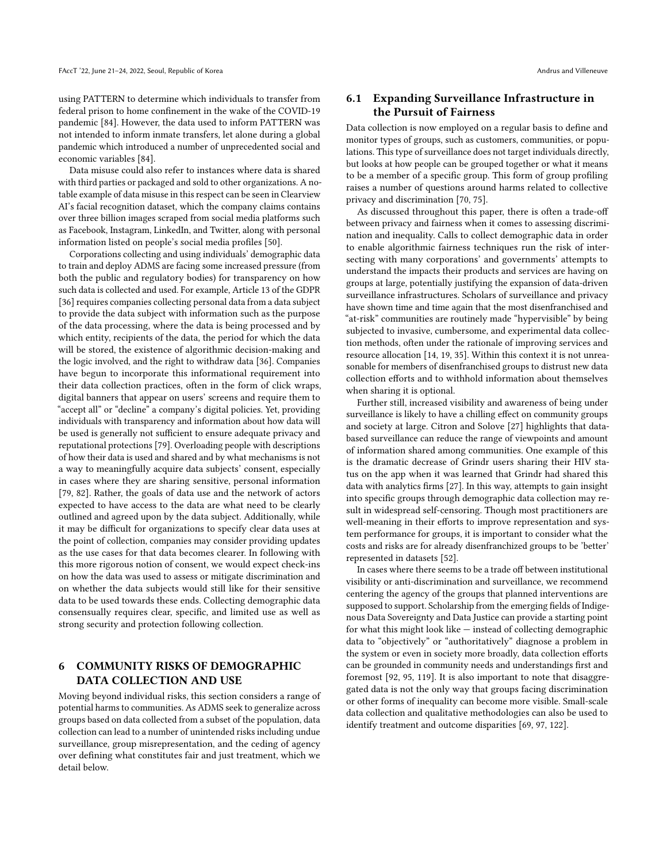using PATTERN to determine which individuals to transfer from federal prison to home confinement in the wake of the COVID-19 pandemic [\[84\]](#page-11-26). However, the data used to inform PATTERN was not intended to inform inmate transfers, let alone during a global pandemic which introduced a number of unprecedented social and economic variables [\[84\]](#page-11-26).

Data misuse could also refer to instances where data is shared with third parties or packaged and sold to other organizations. A notable example of data misuse in this respect can be seen in Clearview AI's facial recognition dataset, which the company claims contains over three billion images scraped from social media platforms such as Facebook, Instagram, LinkedIn, and Twitter, along with personal information listed on people's social media profiles [\[50\]](#page-10-27).

Corporations collecting and using individuals' demographic data to train and deploy ADMS are facing some increased pressure (from both the public and regulatory bodies) for transparency on how such data is collected and used. For example, Article 13 of the GDPR [\[36\]](#page-10-28) requires companies collecting personal data from a data subject to provide the data subject with information such as the purpose of the data processing, where the data is being processed and by which entity, recipients of the data, the period for which the data will be stored, the existence of algorithmic decision-making and the logic involved, and the right to withdraw data [\[36\]](#page-10-28). Companies have begun to incorporate this informational requirement into their data collection practices, often in the form of click wraps, digital banners that appear on users' screens and require them to "accept all" or "decline" a company's digital policies. Yet, providing individuals with transparency and information about how data will be used is generally not sufficient to ensure adequate privacy and reputational protections [\[79\]](#page-11-27). Overloading people with descriptions of how their data is used and shared and by what mechanisms is not a way to meaningfully acquire data subjects' consent, especially in cases where they are sharing sensitive, personal information [\[79,](#page-11-27) [82\]](#page-11-28). Rather, the goals of data use and the network of actors expected to have access to the data are what need to be clearly outlined and agreed upon by the data subject. Additionally, while it may be difficult for organizations to specify clear data uses at the point of collection, companies may consider providing updates as the use cases for that data becomes clearer. In following with this more rigorous notion of consent, we would expect check-ins on how the data was used to assess or mitigate discrimination and on whether the data subjects would still like for their sensitive data to be used towards these ends. Collecting demographic data consensually requires clear, specific, and limited use as well as strong security and protection following collection.

## <span id="page-5-0"></span>6 COMMUNITY RISKS OF DEMOGRAPHIC DATA COLLECTION AND USE

Moving beyond individual risks, this section considers a range of potential harms to communities. As ADMS seek to generalize across groups based on data collected from a subset of the population, data collection can lead to a number of unintended risks including undue surveillance, group misrepresentation, and the ceding of agency over defining what constitutes fair and just treatment, which we detail below.

## 6.1 Expanding Surveillance Infrastructure in the Pursuit of Fairness

Data collection is now employed on a regular basis to define and monitor types of groups, such as customers, communities, or populations. This type of surveillance does not target individuals directly, but looks at how people can be grouped together or what it means to be a member of a specific group. This form of group profiling raises a number of questions around harms related to collective privacy and discrimination [\[70,](#page-11-21) [75\]](#page-11-22).

As discussed throughout this paper, there is often a trade-off between privacy and fairness when it comes to assessing discrimination and inequality. Calls to collect demographic data in order to enable algorithmic fairness techniques run the risk of intersecting with many corporations' and governments' attempts to understand the impacts their products and services are having on groups at large, potentially justifying the expansion of data-driven surveillance infrastructures. Scholars of surveillance and privacy have shown time and time again that the most disenfranchised and "at-risk" communities are routinely made "hypervisible" by being subjected to invasive, cumbersome, and experimental data collection methods, often under the rationale of improving services and resource allocation [\[14,](#page-10-29) [19,](#page-10-30) [35\]](#page-10-31). Within this context it is not unreasonable for members of disenfranchised groups to distrust new data collection efforts and to withhold information about themselves when sharing it is optional.

Further still, increased visibility and awareness of being under surveillance is likely to have a chilling effect on community groups and society at large. Citron and Solove [\[27\]](#page-10-32) highlights that databased surveillance can reduce the range of viewpoints and amount of information shared among communities. One example of this is the dramatic decrease of Grindr users sharing their HIV status on the app when it was learned that Grindr had shared this data with analytics firms [\[27\]](#page-10-32). In this way, attempts to gain insight into specific groups through demographic data collection may result in widespread self-censoring. Though most practitioners are well-meaning in their efforts to improve representation and system performance for groups, it is important to consider what the costs and risks are for already disenfranchized groups to be 'better' represented in datasets [\[52\]](#page-10-33).

In cases where there seems to be a trade off between institutional visibility or anti-discrimination and surveillance, we recommend centering the agency of the groups that planned interventions are supposed to support. Scholarship from the emerging fields of Indigenous Data Sovereignty and Data Justice can provide a starting point for what this might look like — instead of collecting demographic data to "objectively" or "authoritatively" diagnose a problem in the system or even in society more broadly, data collection efforts can be grounded in community needs and understandings first and foremost [\[92,](#page-11-29) [95,](#page-12-21) [119\]](#page-12-22). It is also important to note that disaggregated data is not the only way that groups facing discrimination or other forms of inequality can become more visible. Small-scale data collection and qualitative methodologies can also be used to identify treatment and outcome disparities [\[69,](#page-11-30) [97,](#page-12-23) [122\]](#page-12-24).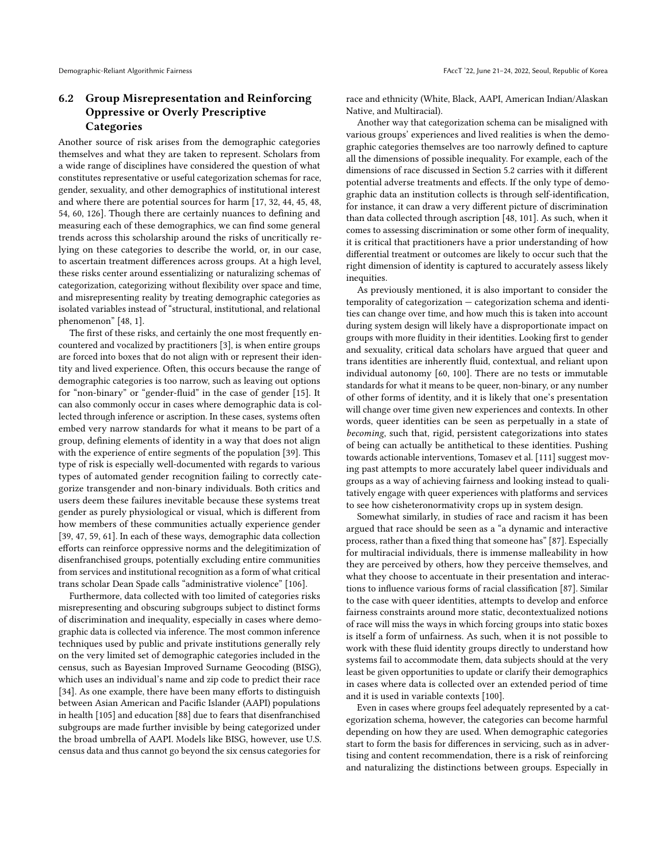## 6.2 Group Misrepresentation and Reinforcing Oppressive or Overly Prescriptive **Categories**

Another source of risk arises from the demographic categories themselves and what they are taken to represent. Scholars from a wide range of disciplines have considered the question of what constitutes representative or useful categorization schemas for race, gender, sexuality, and other demographics of institutional interest and where there are potential sources for harm [\[17,](#page-10-2) [32,](#page-10-3) [44,](#page-10-4) [45,](#page-10-5) [48,](#page-10-6) [54,](#page-11-2) [60,](#page-11-3) [126\]](#page-12-5). Though there are certainly nuances to defining and measuring each of these demographics, we can find some general trends across this scholarship around the risks of uncritically relying on these categories to describe the world, or, in our case, to ascertain treatment differences across groups. At a high level, these risks center around essentializing or naturalizing schemas of categorization, categorizing without flexibility over space and time, and misrepresenting reality by treating demographic categories as isolated variables instead of "structural, institutional, and relational phenomenon" [\[48,](#page-10-6) 1].

The first of these risks, and certainly the one most frequently encountered and vocalized by practitioners [\[3\]](#page-9-1), is when entire groups are forced into boxes that do not align with or represent their identity and lived experience. Often, this occurs because the range of demographic categories is too narrow, such as leaving out options for "non-binary" or "gender-fluid" in the case of gender [\[15\]](#page-10-24). It can also commonly occur in cases where demographic data is collected through inference or ascription. In these cases, systems often embed very narrow standards for what it means to be part of a group, defining elements of identity in a way that does not align with the experience of entire segments of the population [\[39\]](#page-10-26). This type of risk is especially well-documented with regards to various types of automated gender recognition failing to correctly categorize transgender and non-binary individuals. Both critics and users deem these failures inevitable because these systems treat gender as purely physiological or visual, which is different from how members of these communities actually experience gender [\[39,](#page-10-26) [47,](#page-10-34) [59,](#page-11-25) [61\]](#page-11-24). In each of these ways, demographic data collection efforts can reinforce oppressive norms and the delegitimization of disenfranchised groups, potentially excluding entire communities from services and institutional recognition as a form of what critical trans scholar Dean Spade calls "administrative violence" [\[106\]](#page-12-25).

Furthermore, data collected with too limited of categories risks misrepresenting and obscuring subgroups subject to distinct forms of discrimination and inequality, especially in cases where demographic data is collected via inference. The most common inference techniques used by public and private institutions generally rely on the very limited set of demographic categories included in the census, such as Bayesian Improved Surname Geocoding (BISG), which uses an individual's name and zip code to predict their race [\[34\]](#page-10-35). As one example, there have been many efforts to distinguish between Asian American and Pacific Islander (AAPI) populations in health [\[105\]](#page-12-26) and education [\[88\]](#page-11-31) due to fears that disenfranchised subgroups are made further invisible by being categorized under the broad umbrella of AAPI. Models like BISG, however, use U.S. census data and thus cannot go beyond the six census categories for

race and ethnicity (White, Black, AAPI, American Indian/Alaskan Native, and Multiracial).

Another way that categorization schema can be misaligned with various groups' experiences and lived realities is when the demographic categories themselves are too narrowly defined to capture all the dimensions of possible inequality. For example, each of the dimensions of race discussed in Section [5.2](#page-4-0) carries with it different potential adverse treatments and effects. If the only type of demographic data an institution collects is through self-identification, for instance, it can draw a very different picture of discrimination than data collected through ascription [\[48,](#page-10-6) [101\]](#page-12-27). As such, when it comes to assessing discrimination or some other form of inequality, it is critical that practitioners have a prior understanding of how differential treatment or outcomes are likely to occur such that the right dimension of identity is captured to accurately assess likely inequities.

As previously mentioned, it is also important to consider the temporality of categorization — categorization schema and identities can change over time, and how much this is taken into account during system design will likely have a disproportionate impact on groups with more fluidity in their identities. Looking first to gender and sexuality, critical data scholars have argued that queer and trans identities are inherently fluid, contextual, and reliant upon individual autonomy [\[60,](#page-11-3) [100\]](#page-12-17). There are no tests or immutable standards for what it means to be queer, non-binary, or any number of other forms of identity, and it is likely that one's presentation will change over time given new experiences and contexts. In other words, queer identities can be seen as perpetually in a state of becoming, such that, rigid, persistent categorizations into states of being can actually be antithetical to these identities. Pushing towards actionable interventions, Tomasev et al. [\[111\]](#page-12-11) suggest moving past attempts to more accurately label queer individuals and groups as a way of achieving fairness and looking instead to qualitatively engage with queer experiences with platforms and services to see how cisheteronormativity crops up in system design.

Somewhat similarly, in studies of race and racism it has been argued that race should be seen as a "a dynamic and interactive process, rather than a fixed thing that someone has" [\[87\]](#page-11-32). Especially for multiracial individuals, there is immense malleability in how they are perceived by others, how they perceive themselves, and what they choose to accentuate in their presentation and interactions to influence various forms of racial classification [\[87\]](#page-11-32). Similar to the case with queer identities, attempts to develop and enforce fairness constraints around more static, decontextualized notions of race will miss the ways in which forcing groups into static boxes is itself a form of unfairness. As such, when it is not possible to work with these fluid identity groups directly to understand how systems fail to accommodate them, data subjects should at the very least be given opportunities to update or clarify their demographics in cases where data is collected over an extended period of time and it is used in variable contexts [\[100\]](#page-12-17).

Even in cases where groups feel adequately represented by a categorization schema, however, the categories can become harmful depending on how they are used. When demographic categories start to form the basis for differences in servicing, such as in advertising and content recommendation, there is a risk of reinforcing and naturalizing the distinctions between groups. Especially in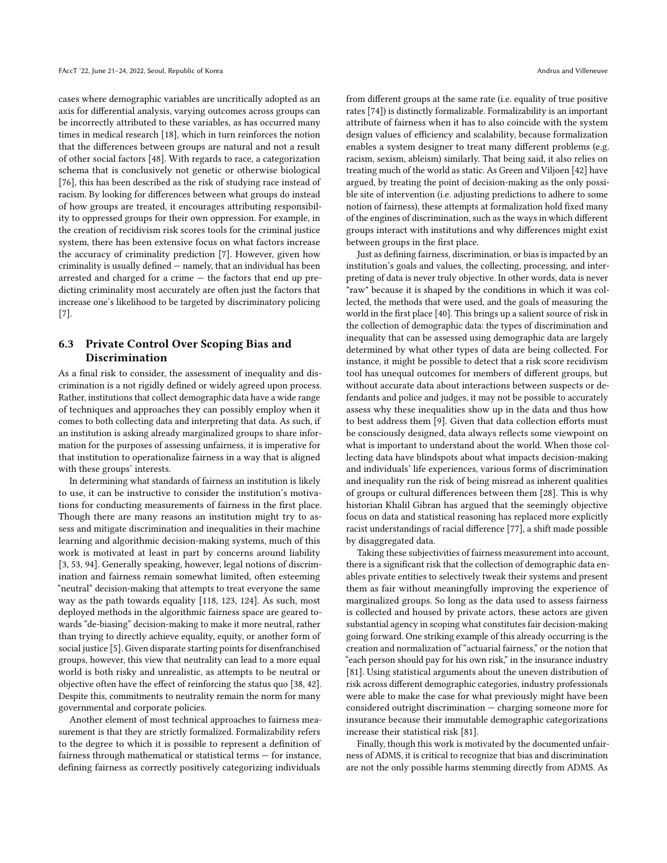cases where demographic variables are uncritically adopted as an axis for differential analysis, varying outcomes across groups can be incorrectly attributed to these variables, as has occurred many times in medical research [\[18\]](#page-10-36), which in turn reinforces the notion that the differences between groups are natural and not a result of other social factors [\[48\]](#page-10-6). With regards to race, a categorization schema that is conclusively not genetic or otherwise biological [\[76\]](#page-11-33), this has been described as the risk of studying race instead of racism. By looking for differences between what groups do instead of how groups are treated, it encourages attributing responsibility to oppressed groups for their own oppression. For example, in the creation of recidivism risk scores tools for the criminal justice system, there has been extensive focus on what factors increase the accuracy of criminality prediction [\[7\]](#page-9-4). However, given how criminality is usually defined — namely, that an individual has been arrested and charged for a crime — the factors that end up predicting criminality most accurately are often just the factors that increase one's likelihood to be targeted by discriminatory policing [\[7\]](#page-9-4).

## 6.3 Private Control Over Scoping Bias and Discrimination

As a final risk to consider, the assessment of inequality and discrimination is a not rigidly defined or widely agreed upon process. Rather, institutions that collect demographic data have a wide range of techniques and approaches they can possibly employ when it comes to both collecting data and interpreting that data. As such, if an institution is asking already marginalized groups to share information for the purposes of assessing unfairness, it is imperative for that institution to operationalize fairness in a way that is aligned with these groups' interests.

In determining what standards of fairness an institution is likely to use, it can be instructive to consider the institution's motivations for conducting measurements of fairness in the first place. Though there are many reasons an institution might try to assess and mitigate discrimination and inequalities in their machine learning and algorithmic decision-making systems, much of this work is motivated at least in part by concerns around liability [\[3,](#page-9-1) [53,](#page-10-37) [94\]](#page-12-28). Generally speaking, however, legal notions of discrimination and fairness remain somewhat limited, often esteeming "neutral" decision-making that attempts to treat everyone the same way as the path towards equality [\[118,](#page-12-10) [123,](#page-12-29) [124\]](#page-12-9). As such, most deployed methods in the algorithmic fairness space are geared towards "de-biasing" decision-making to make it more neutral, rather than trying to directly achieve equality, equity, or another form of social justice [\[5\]](#page-9-0). Given disparate starting points for disenfranchised groups, however, this view that neutrality can lead to a more equal world is both risky and unrealistic, as attempts to be neutral or objective often have the effect of reinforcing the status quo [\[38,](#page-10-38) [42\]](#page-10-39). Despite this, commitments to neutrality remain the norm for many governmental and corporate policies.

Another element of most technical approaches to fairness measurement is that they are strictly formalized. Formalizability refers to the degree to which it is possible to represent a definition of fairness through mathematical or statistical terms — for instance, defining fairness as correctly positively categorizing individuals

from different groups at the same rate (i.e. equality of true positive rates [\[74\]](#page-11-9)) is distinctly formalizable. Formalizability is an important attribute of fairness when it has to also coincide with the system design values of efficiency and scalability, because formalization enables a system designer to treat many different problems (e.g. racism, sexism, ableism) similarly. That being said, it also relies on treating much of the world as static. As Green and Viljoen [\[42\]](#page-10-39) have argued, by treating the point of decision-making as the only possible site of intervention (i.e. adjusting predictions to adhere to some notion of fairness), these attempts at formalization hold fixed many of the engines of discrimination, such as the ways in which different groups interact with institutions and why differences might exist between groups in the first place.

Just as defining fairness, discrimination, or bias is impacted by an institution's goals and values, the collecting, processing, and interpreting of data is never truly objective. In other words, data is never "raw" because it is shaped by the conditions in which it was collected, the methods that were used, and the goals of measuring the world in the first place [\[40\]](#page-10-40). This brings up a salient source of risk in the collection of demographic data: the types of discrimination and inequality that can be assessed using demographic data are largely determined by what other types of data are being collected. For instance, it might be possible to detect that a risk score recidivism tool has unequal outcomes for members of different groups, but without accurate data about interactions between suspects or defendants and police and judges, it may not be possible to accurately assess why these inequalities show up in the data and thus how to best address them [\[9\]](#page-9-5). Given that data collection efforts must be consciously designed, data always reflects some viewpoint on what is important to understand about the world. When those collecting data have blindspots about what impacts decision-making and individuals' life experiences, various forms of discrimination and inequality run the risk of being misread as inherent qualities of groups or cultural differences between them [\[28\]](#page-10-41). This is why historian Khalil Gibran has argued that the seemingly objective focus on data and statistical reasoning has replaced more explicitly racist understandings of racial difference [\[77\]](#page-11-34), a shift made possible by disaggregated data.

Taking these subjectivities of fairness measurement into account, there is a significant risk that the collection of demographic data enables private entities to selectively tweak their systems and present them as fair without meaningfully improving the experience of marginalized groups. So long as the data used to assess fairness is collected and housed by private actors, these actors are given substantial agency in scoping what constitutes fair decision-making going forward. One striking example of this already occurring is the creation and normalization of "actuarial fairness," or the notion that "each person should pay for his own risk," in the insurance industry [\[81\]](#page-11-7). Using statistical arguments about the uneven distribution of risk across different demographic categories, industry professionals were able to make the case for what previously might have been considered outright discrimination — charging someone more for insurance because their immutable demographic categorizations increase their statistical risk [\[81\]](#page-11-7).

Finally, though this work is motivated by the documented unfairness of ADMS, it is critical to recognize that bias and discrimination are not the only possible harms stemming directly from ADMS. As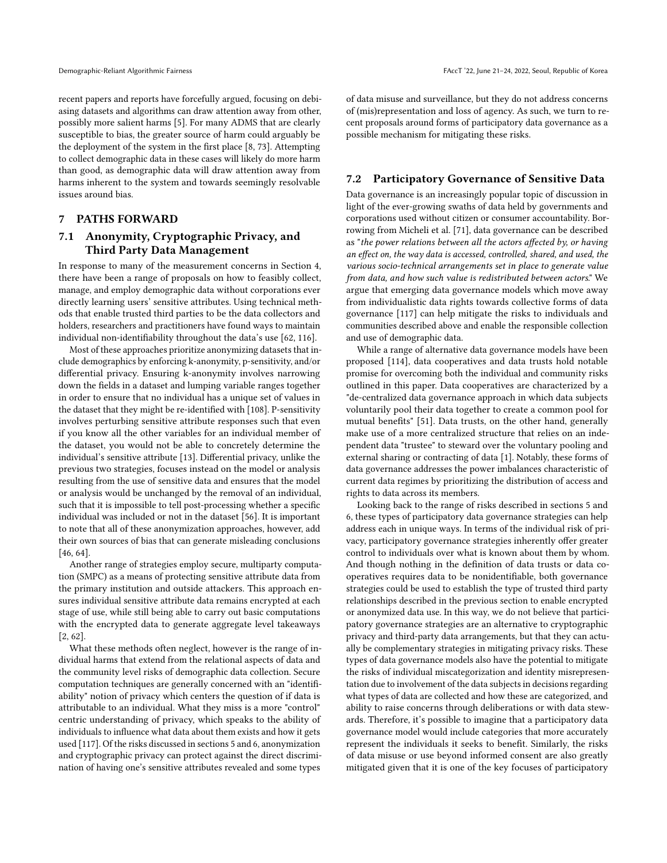recent papers and reports have forcefully argued, focusing on debiasing datasets and algorithms can draw attention away from other, possibly more salient harms [\[5\]](#page-9-0). For many ADMS that are clearly susceptible to bias, the greater source of harm could arguably be the deployment of the system in the first place [\[8,](#page-9-6) [73\]](#page-11-35). Attempting to collect demographic data in these cases will likely do more harm than good, as demographic data will draw attention away from harms inherent to the system and towards seemingly resolvable issues around bias.

#### <span id="page-8-0"></span>7 PATHS FORWARD

#### 7.1 Anonymity, Cryptographic Privacy, and Third Party Data Management

In response to many of the measurement concerns in Section [4,](#page-2-0) there have been a range of proposals on how to feasibly collect, manage, and employ demographic data without corporations ever directly learning users' sensitive attributes. Using technical methods that enable trusted third parties to be the data collectors and holders, researchers and practitioners have found ways to maintain individual non-identifiability throughout the data's use [\[62,](#page-11-36) [116\]](#page-12-4).

Most of these approaches prioritize anonymizing datasets that include demographics by enforcing k-anonymity, p-sensitivity, and/or differential privacy. Ensuring k-anonymity involves narrowing down the fields in a dataset and lumping variable ranges together in order to ensure that no individual has a unique set of values in the dataset that they might be re-identified with [\[108\]](#page-12-30). P-sensitivity involves perturbing sensitive attribute responses such that even if you know all the other variables for an individual member of the dataset, you would not be able to concretely determine the individual's sensitive attribute [\[13\]](#page-10-16). Differential privacy, unlike the previous two strategies, focuses instead on the model or analysis resulting from the use of sensitive data and ensures that the model or analysis would be unchanged by the removal of an individual, such that it is impossible to tell post-processing whether a specific individual was included or not in the dataset [\[56\]](#page-11-14). It is important to note that all of these anonymization approaches, however, add their own sources of bias that can generate misleading conclusions [\[46,](#page-10-42) [64\]](#page-11-15).

Another range of strategies employ secure, multiparty computation (SMPC) as a means of protecting sensitive attribute data from the primary institution and outside attackers. This approach ensures individual sensitive attribute data remains encrypted at each stage of use, while still being able to carry out basic computations with the encrypted data to generate aggregate level takeaways [\[2,](#page-9-7) [62\]](#page-11-36).

What these methods often neglect, however is the range of individual harms that extend from the relational aspects of data and the community level risks of demographic data collection. Secure computation techniques are generally concerned with an "identifiability" notion of privacy which centers the question of if data is attributable to an individual. What they miss is a more "control" centric understanding of privacy, which speaks to the ability of individuals to influence what data about them exists and how it gets used [\[117\]](#page-12-31). Of the risks discussed in sections [5](#page-3-0) and [6,](#page-5-0) anonymization and cryptographic privacy can protect against the direct discrimination of having one's sensitive attributes revealed and some types

of data misuse and surveillance, but they do not address concerns of (mis)representation and loss of agency. As such, we turn to recent proposals around forms of participatory data governance as a possible mechanism for mitigating these risks.

#### 7.2 Participatory Governance of Sensitive Data

Data governance is an increasingly popular topic of discussion in light of the ever-growing swaths of data held by governments and corporations used without citizen or consumer accountability. Borrowing from Micheli et al. [\[71\]](#page-11-37), data governance can be described as "the power relations between all the actors affected by, or having an effect on, the way data is accessed, controlled, shared, and used, the various socio-technical arrangements set in place to generate value from data, and how such value is redistributed between actors." We argue that emerging data governance models which move away from individualistic data rights towards collective forms of data governance [\[117\]](#page-12-31) can help mitigate the risks to individuals and communities described above and enable the responsible collection and use of demographic data.

While a range of alternative data governance models have been proposed [\[114\]](#page-12-32), data cooperatives and data trusts hold notable promise for overcoming both the individual and community risks outlined in this paper. Data cooperatives are characterized by a "de-centralized data governance approach in which data subjects voluntarily pool their data together to create a common pool for mutual benefits" [\[51\]](#page-10-43). Data trusts, on the other hand, generally make use of a more centralized structure that relies on an independent data "trustee" to steward over the voluntary pooling and external sharing or contracting of data [\[1\]](#page-9-8). Notably, these forms of data governance addresses the power imbalances characteristic of current data regimes by prioritizing the distribution of access and rights to data across its members.

Looking back to the range of risks described in sections [5](#page-3-0) and [6,](#page-5-0) these types of participatory data governance strategies can help address each in unique ways. In terms of the individual risk of privacy, participatory governance strategies inherently offer greater control to individuals over what is known about them by whom. And though nothing in the definition of data trusts or data cooperatives requires data to be nonidentifiable, both governance strategies could be used to establish the type of trusted third party relationships described in the previous section to enable encrypted or anonymized data use. In this way, we do not believe that participatory governance strategies are an alternative to cryptographic privacy and third-party data arrangements, but that they can actually be complementary strategies in mitigating privacy risks. These types of data governance models also have the potential to mitigate the risks of individual miscategorization and identity misrepresentation due to involvement of the data subjects in decisions regarding what types of data are collected and how these are categorized, and ability to raise concerns through deliberations or with data stewards. Therefore, it's possible to imagine that a participatory data governance model would include categories that more accurately represent the individuals it seeks to benefit. Similarly, the risks of data misuse or use beyond informed consent are also greatly mitigated given that it is one of the key focuses of participatory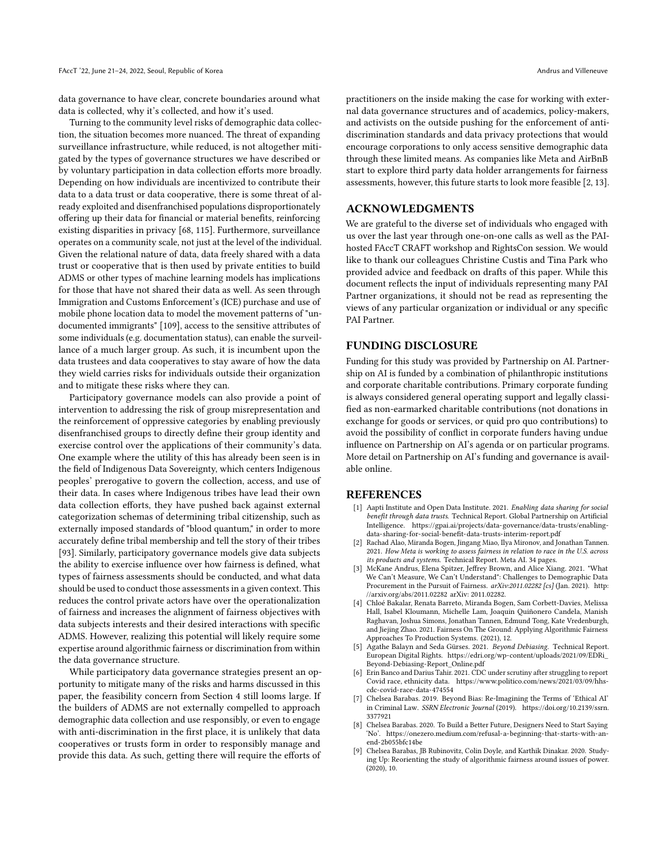data governance to have clear, concrete boundaries around what data is collected, why it's collected, and how it's used.

Turning to the community level risks of demographic data collection, the situation becomes more nuanced. The threat of expanding surveillance infrastructure, while reduced, is not altogether mitigated by the types of governance structures we have described or by voluntary participation in data collection efforts more broadly. Depending on how individuals are incentivized to contribute their data to a data trust or data cooperative, there is some threat of already exploited and disenfranchised populations disproportionately offering up their data for financial or material benefits, reinforcing existing disparities in privacy [\[68,](#page-11-38) [115\]](#page-12-33). Furthermore, surveillance operates on a community scale, not just at the level of the individual. Given the relational nature of data, data freely shared with a data trust or cooperative that is then used by private entities to build ADMS or other types of machine learning models has implications for those that have not shared their data as well. As seen through Immigration and Customs Enforcement's (ICE) purchase and use of mobile phone location data to model the movement patterns of "undocumented immigrants" [\[109\]](#page-12-13), access to the sensitive attributes of some individuals (e.g. documentation status), can enable the surveillance of a much larger group. As such, it is incumbent upon the data trustees and data cooperatives to stay aware of how the data they wield carries risks for individuals outside their organization and to mitigate these risks where they can.

Participatory governance models can also provide a point of intervention to addressing the risk of group misrepresentation and the reinforcement of oppressive categories by enabling previously disenfranchised groups to directly define their group identity and exercise control over the applications of their community's data. One example where the utility of this has already been seen is in the field of Indigenous Data Sovereignty, which centers Indigenous peoples' prerogative to govern the collection, access, and use of their data. In cases where Indigenous tribes have lead their own data collection efforts, they have pushed back against external categorization schemas of determining tribal citizenship, such as externally imposed standards of "blood quantum," in order to more accurately define tribal membership and tell the story of their tribes [\[93\]](#page-12-34). Similarly, participatory governance models give data subjects the ability to exercise influence over how fairness is defined, what types of fairness assessments should be conducted, and what data should be used to conduct those assessments in a given context. This reduces the control private actors have over the operationalization of fairness and increases the alignment of fairness objectives with data subjects interests and their desired interactions with specific ADMS. However, realizing this potential will likely require some expertise around algorithmic fairness or discrimination from within the data governance structure.

While participatory data governance strategies present an opportunity to mitigate many of the risks and harms discussed in this paper, the feasibility concern from Section [4](#page-2-0) still looms large. If the builders of ADMS are not externally compelled to approach demographic data collection and use responsibly, or even to engage with anti-discrimination in the first place, it is unlikely that data cooperatives or trusts form in order to responsibly manage and provide this data. As such, getting there will require the efforts of practitioners on the inside making the case for working with external data governance structures and of academics, policy-makers, and activists on the outside pushing for the enforcement of antidiscrimination standards and data privacy protections that would encourage corporations to only access sensitive demographic data through these limited means. As companies like Meta and AirBnB start to explore third party data holder arrangements for fairness assessments, however, this future starts to look more feasible [\[2,](#page-9-7) [13\]](#page-10-16).

#### ACKNOWLEDGMENTS

We are grateful to the diverse set of individuals who engaged with us over the last year through one-on-one calls as well as the PAIhosted FAccT CRAFT workshop and RightsCon session. We would like to thank our colleagues Christine Custis and Tina Park who provided advice and feedback on drafts of this paper. While this document reflects the input of individuals representing many PAI Partner organizations, it should not be read as representing the views of any particular organization or individual or any specific PAI Partner.

#### FUNDING DISCLOSURE

Funding for this study was provided by Partnership on AI. Partnership on AI is funded by a combination of philanthropic institutions and corporate charitable contributions. Primary corporate funding is always considered general operating support and legally classified as non-earmarked charitable contributions (not donations in exchange for goods or services, or quid pro quo contributions) to avoid the possibility of conflict in corporate funders having undue influence on Partnership on AI's agenda or on particular programs. More detail on Partnership on AI's [funding and governance](https://partnershiponai.org/transparency-governance/) is available online.

#### REFERENCES

- <span id="page-9-8"></span>[1] Aapti Institute and Open Data Institute. 2021. Enabling data sharing for social benefit through data trusts. Technical Report. Global Partnership on Artificial Intelligence. [https://gpai.ai/projects/data-governance/data-trusts/enabling](https://gpai.ai/projects/data-governance/data-trusts/enabling-data-sharing-for-social-benefit-data-trusts-interim-report.pdf)[data-sharing-for-social-benefit-data-trusts-interim-report.pdf](https://gpai.ai/projects/data-governance/data-trusts/enabling-data-sharing-for-social-benefit-data-trusts-interim-report.pdf)
- <span id="page-9-7"></span>[2] Rachad Alao, Miranda Bogen, Jingang Miao, Ilya Mironov, and Jonathan Tannen. 2021. How Meta is working to assess fairness in relation to race in the U.S. across its products and systems. Technical Report. Meta AI. 34 pages.
- <span id="page-9-1"></span>[3] McKane Andrus, Elena Spitzer, Jeffrey Brown, and Alice Xiang. 2021. "What We Can't Measure, We Can't Understand": Challenges to Demographic Data Procurement in the Pursuit of Fairness. arXiv:2011.02282 [cs] (Jan. 2021). [http:](http://arxiv.org/abs/2011.02282) [//arxiv.org/abs/2011.02282](http://arxiv.org/abs/2011.02282) arXiv: 2011.02282.
- <span id="page-9-3"></span>[4] Chloé Bakalar, Renata Barreto, Miranda Bogen, Sam Corbett-Davies, Melissa Hall, Isabel Kloumann, Michelle Lam, Joaquin Quiñonero Candela, Manish Raghavan, Joshua Simons, Jonathan Tannen, Edmund Tong, Kate Vredenburgh, and Jiejing Zhao. 2021. Fairness On The Ground: Applying Algorithmic Fairness Approaches To Production Systems. (2021), 12.
- <span id="page-9-0"></span>[5] Agathe Balayn and Seda Gürses. 2021. Beyond Debiasing. Technical Report. European Digital Rights. [https://edri.org/wp-content/uploads/2021/09/EDRi\\_](https://edri.org/wp-content/uploads/2021/09/EDRi_Beyond-Debiasing-Report_Online.pdf) [Beyond-Debiasing-Report\\_Online.pdf](https://edri.org/wp-content/uploads/2021/09/EDRi_Beyond-Debiasing-Report_Online.pdf)
- <span id="page-9-2"></span>[6] Erin Banco and Darius Tahir. 2021. CDC under scrutiny after struggling to report Covid race, ethnicity data. [https://www.politico.com/news/2021/03/09/hhs](https://www.politico.com/news/2021/03/09/hhs-cdc-covid-race-data-474554)[cdc-covid-race-data-474554](https://www.politico.com/news/2021/03/09/hhs-cdc-covid-race-data-474554)
- <span id="page-9-4"></span>[7] Chelsea Barabas. 2019. Beyond Bias: Re-Imagining the Terms of 'Ethical AI' in Criminal Law. SSRN Electronic Journal (2019). [https://doi.org/10.2139/ssrn.](https://doi.org/10.2139/ssrn.3377921) [3377921](https://doi.org/10.2139/ssrn.3377921)
- <span id="page-9-6"></span>[8] Chelsea Barabas. 2020. To Build a Better Future, Designers Need to Start Saying 'No'. [https://onezero.medium.com/refusal-a-beginning-that-starts-with-an](https://onezero.medium.com/refusal-a-beginning-that-starts-with-an-end-2b055bfc14be)[end-2b055bfc14be](https://onezero.medium.com/refusal-a-beginning-that-starts-with-an-end-2b055bfc14be)
- <span id="page-9-5"></span>[9] Chelsea Barabas, JB Rubinovitz, Colin Doyle, and Karthik Dinakar. 2020. Studying Up: Reorienting the study of algorithmic fairness around issues of power. (2020), 10.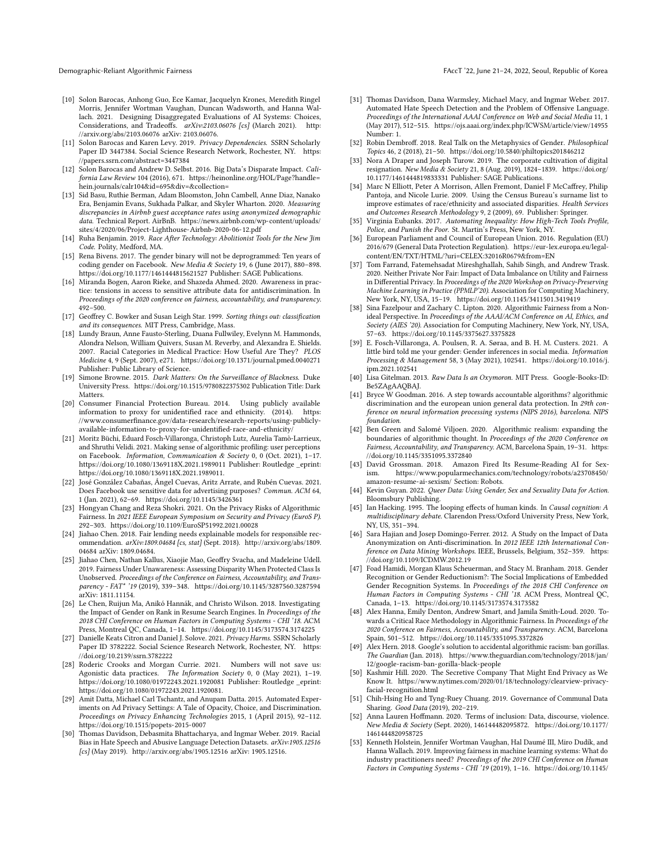- <span id="page-10-9"></span>[10] Solon Barocas, Anhong Guo, Ece Kamar, Jacquelyn Krones, Meredith Ringel Morris, Jennifer Wortman Vaughan, Duncan Wadsworth, and Hanna Wallach. 2021. Designing Disaggregated Evaluations of AI Systems: Choices, Considerations, and Tradeoffs. arXiv:2103.06076 [cs] (March 2021). [http:](http://arxiv.org/abs/2103.06076) [//arxiv.org/abs/2103.06076](http://arxiv.org/abs/2103.06076) arXiv: 2103.06076.
- <span id="page-10-23"></span>[11] Solon Barocas and Karen Levy. 2019. Privacy Dependencies. SSRN Scholarly Paper ID 3447384. Social Science Research Network, Rochester, NY. [https:](https://papers.ssrn.com/abstract=3447384) [//papers.ssrn.com/abstract=3447384](https://papers.ssrn.com/abstract=3447384)
- <span id="page-10-1"></span>[12] Solon Barocas and Andrew D. Selbst. 2016. Big Data's Disparate Impact. California Law Review 104 (2016), 671. [https://heinonline.org/HOL/Page?handle=](https://heinonline.org/HOL/Page?handle=hein.journals/calr104&id=695&div=&collection=) [hein.journals/calr104&id=695&div=&collection=](https://heinonline.org/HOL/Page?handle=hein.journals/calr104&id=695&div=&collection=)
- <span id="page-10-16"></span>[13] Sid Basu, Ruthie Berman, Adam Bloomston, John Cambell, Anne Diaz, Nanako Era, Benjamin Evans, Sukhada Palkar, and Skyler Wharton. 2020. Measuring discrepancies in Airbnb guest acceptance rates using anonymized demographic data. Technical Report. AirBnB. [https://news.airbnb.com/wp-content/uploads/](https://news.airbnb.com/wp-content/uploads/sites/4/2020/06/Project-Lighthouse-Airbnb-2020-06-12.pdf) [sites/4/2020/06/Project-Lighthouse-Airbnb-2020-06-12.pdf](https://news.airbnb.com/wp-content/uploads/sites/4/2020/06/Project-Lighthouse-Airbnb-2020-06-12.pdf)
- <span id="page-10-29"></span>[14] Ruha Benjamin. 2019. Race After Technology: Abolitionist Tools for the New Jim Code. Polity, Medford, MA.
- <span id="page-10-24"></span>[15] Rena Bivens. 2017. The gender binary will not be deprogrammed: Ten years of coding gender on Facebook. New Media & Society 19, 6 (June 2017), 880–898. <https://doi.org/10.1177/1461444815621527> Publisher: SAGE Publications.
- <span id="page-10-11"></span>[16] Miranda Bogen, Aaron Rieke, and Shazeda Ahmed. 2020. Awareness in practice: tensions in access to sensitive attribute data for antidiscrimination. In Proceedings of the 2020 conference on fairness, accountability, and transparency. 492–500.
- <span id="page-10-2"></span>[17] Geoffrey C. Bowker and Susan Leigh Star. 1999. Sorting things out: classification and its consequences. MIT Press, Cambridge, Mass.
- <span id="page-10-36"></span>[18] Lundy Braun, Anne Fausto-Sterling, Duana Fullwiley, Evelynn M. Hammonds, Alondra Nelson, William Quivers, Susan M. Reverby, and Alexandra E. Shields. 2007. Racial Categories in Medical Practice: How Useful Are They? PLOS Medicine 4, 9 (Sept. 2007), e271.<https://doi.org/10.1371/journal.pmed.0040271> Publisher: Public Library of Science.
- <span id="page-10-30"></span>[19] Simone Browne. 2015. Dark Matters: On the Surveillance of Blackness. Duke University Press.<https://doi.org/10.1515/9780822375302> Publication Title: Dark Matters.
- <span id="page-10-17"></span>[20] Consumer Financial Protection Bureau. 2014. Using publicly available information to proxy for unidentified race and ethnicity. (2014). [https:](https://www.consumerfinance.gov/data-research/research-reports/using-publicly-available-information-to-proxy-for-unidentified-race-and-ethnicity/) [//www.consumerfinance.gov/data-research/research-reports/using-publicly](https://www.consumerfinance.gov/data-research/research-reports/using-publicly-available-information-to-proxy-for-unidentified-race-and-ethnicity/)[available-information-to-proxy-for-unidentified-race-and-ethnicity/](https://www.consumerfinance.gov/data-research/research-reports/using-publicly-available-information-to-proxy-for-unidentified-race-and-ethnicity/)
- <span id="page-10-14"></span>[21] Moritz Büchi, Eduard Fosch-Villaronga, Christoph Lutz, Aurelia Tamò-Larrieux, and Shruthi Velidi. 2021. Making sense of algorithmic profiling: user perceptions on Facebook. Information, Communication & Society 0, 0 (Oct. 2021), 1–17. <https://doi.org/10.1080/1369118X.2021.1989011> Publisher: Routledge \_eprint: https://doi.org/10.1080/1369118X.2021.1989011.
- <span id="page-10-20"></span>[22] José González Cabañas, Ángel Cuevas, Aritz Arrate, and Rubén Cuevas. 2021. Does Facebook use sensitive data for advertising purposes? Commun. ACM 64, 1 (Jan. 2021), 62–69.<https://doi.org/10.1145/3426361>
- <span id="page-10-22"></span>[23] Hongyan Chang and Reza Shokri. 2021. On the Privacy Risks of Algorithmic Fairness. In 2021 IEEE European Symposium on Security and Privacy (EuroS P). 292–303.<https://doi.org/10.1109/EuroSP51992.2021.00028>
- <span id="page-10-18"></span>[24] Jiahao Chen. 2018. Fair lending needs explainable models for responsible recommendation. arXiv:1809.04684 [cs, stat] (Sept. 2018). [http://arxiv.org/abs/1809.](http://arxiv.org/abs/1809.04684) [04684](http://arxiv.org/abs/1809.04684) arXiv: 1809.04684.
- <span id="page-10-15"></span>[25] Jiahao Chen, Nathan Kallus, Xiaojie Mao, Geoffry Svacha, and Madeleine Udell. 2019. Fairness Under Unawareness: Assessing Disparity When Protected Class Is Unobserved. Proceedings of the Conference on Fairness, Accountability, and Transparency - FAT\* '19 (2019), 339–348.<https://doi.org/10.1145/3287560.3287594> arXiv: 1811.11154.
- <span id="page-10-0"></span>[26] Le Chen, Ruijun Ma, Anikó Hannák, and Christo Wilson. 2018. Investigating the Impact of Gender on Rank in Resume Search Engines. In Proceedings of the 2018 CHI Conference on Human Factors in Computing Systems - CHI '18. ACM Press, Montreal QC, Canada, 1–14.<https://doi.org/10.1145/3173574.3174225>
- <span id="page-10-32"></span>[27] Danielle Keats Citron and Daniel J. Solove. 2021. Privacy Harms. SSRN Scholarly Paper ID 3782222. Social Science Research Network, Rochester, NY. [https:](https://doi.org/10.2139/ssrn.3782222) [//doi.org/10.2139/ssrn.3782222](https://doi.org/10.2139/ssrn.3782222)
- <span id="page-10-41"></span>[28] Roderic Crooks and Morgan Currie. 2021. Numbers will not save us: Agonistic data practices. The Information Society 0, 0 (May 2021), 1–19. <https://doi.org/10.1080/01972243.2021.1920081> Publisher: Routledge \_eprint: https://doi.org/10.1080/01972243.2021.1920081.
- <span id="page-10-21"></span>[29] Amit Datta, Michael Carl Tschantz, and Anupam Datta. 2015. Automated Experiments on Ad Privacy Settings: A Tale of Opacity, Choice, and Discrimination. Proceedings on Privacy Enhancing Technologies 2015, 1 (April 2015), 92–112. <https://doi.org/10.1515/popets-2015-0007>
- <span id="page-10-7"></span>[30] Thomas Davidson, Debasmita Bhattacharya, and Ingmar Weber. 2019. Racial Bias in Hate Speech and Abusive Language Detection Datasets. arXiv:1905.12516 [cs] (May 2019).<http://arxiv.org/abs/1905.12516> arXiv: 1905.12516.

Demographic-Reliant Algorithmic Fairness FAccT '22, June 21–24, 2022, Seoul, Republic of Korea

- <span id="page-10-8"></span>[31] Thomas Davidson, Dana Warmsley, Michael Macy, and Ingmar Weber. 2017. Automated Hate Speech Detection and the Problem of Offensive Language. Proceedings of the International AAAI Conference on Web and Social Media 11, 1 (May 2017), 512–515.<https://ojs.aaai.org/index.php/ICWSM/article/view/14955> Number: 1.
- <span id="page-10-3"></span>[32] Robin Dembroff. 2018. Real Talk on the Metaphysics of Gender. Philosophical Topics 46, 2 (2018), 21–50.<https://doi.org/10.5840/philtopics201846212>
- <span id="page-10-25"></span>[33] Nora A Draper and Joseph Turow. 2019. The corporate cultivation of digital resignation. New Media & Society 21, 8 (Aug. 2019), 1824-1839. [https://doi.org/](https://doi.org/10.1177/1461444819833331) [10.1177/1461444819833331](https://doi.org/10.1177/1461444819833331) Publisher: SAGE Publications.
- <span id="page-10-35"></span>[34] Marc N Elliott, Peter A Morrison, Allen Fremont, Daniel F McCaffrey, Philip Pantoja, and Nicole Lurie. 2009. Using the Census Bureau's surname list to improve estimates of race/ethnicity and associated disparities. Health Services and Outcomes Research Methodology 9, 2 (2009), 69. Publisher: Springer.
- <span id="page-10-31"></span>[35] Virginia Eubanks. 2017. Automating Inequality: How High-Tech Tools Profile, Police, and Punish the Poor. St. Martin's Press, New York, NY.
- <span id="page-10-28"></span>[36] European Parliament and Council of European Union. 2016. Regulation (EU) 2016/679 (General Data Protection Regulation). [https://eur-lex.europa.eu/legal](https://eur-lex.europa.eu/legal-content/EN/TXT/HTML/?uri=CELEX:32016R0679&from=EN)[content/EN/TXT/HTML/?uri=CELEX:32016R0679&from=EN](https://eur-lex.europa.eu/legal-content/EN/TXT/HTML/?uri=CELEX:32016R0679&from=EN)
- <span id="page-10-19"></span>[37] Tom Farrand, Fatemehsadat Mireshghallah, Sahib Singh, and Andrew Trask. 2020. Neither Private Nor Fair: Impact of Data Imbalance on Utility and Fairness in Differential Privacy. In Proceedings of the 2020 Workshop on Privacy-Preserving Machine Learning in Practice (PPMLP'20). Association for Computing Machinery, New York, NY, USA, 15–19.<https://doi.org/10.1145/3411501.3419419>
- <span id="page-10-38"></span>[38] Sina Fazelpour and Zachary C. Lipton. 2020. Algorithmic Fairness from a Nonideal Perspective. In Proceedings of the AAAI/ACM Conference on AI, Ethics, and Society (AIES '20). Association for Computing Machinery, New York, NY, USA, 57–63.<https://doi.org/10.1145/3375627.3375828>
- <span id="page-10-26"></span>[39] E. Fosch-Villaronga, A. Poulsen, R. A. Søraa, and B. H. M. Custers. 2021. A little bird told me your gender: Gender inferences in social media. Information Processing & Management 58, 3 (May 2021), 102541. [https://doi.org/10.1016/j.](https://doi.org/10.1016/j.ipm.2021.102541) [ipm.2021.102541](https://doi.org/10.1016/j.ipm.2021.102541)
- <span id="page-10-40"></span>[40] Lisa Gitelman. 2013. Raw Data Is an Oxymoron. MIT Press. Google-Books-ID: Be5ZAgAAQBAJ.
- <span id="page-10-10"></span>[41] Bryce W Goodman. 2016. A step towards accountable algorithms? algorithmic discrimination and the european union general data protection. In 29th con-ference on neural information processing systems (NIPS 2016), barcelona. NIPS foundation.
- <span id="page-10-39"></span>[42] Ben Green and Salomé Viljoen. 2020. Algorithmic realism: expanding the boundaries of algorithmic thought. In Proceedings of the 2020 Conference on Fairness, Accountability, and Transparency. ACM, Barcelona Spain, 19–31. [https:](https://doi.org/10.1145/3351095.3372840) [//doi.org/10.1145/3351095.3372840](https://doi.org/10.1145/3351095.3372840)
- <span id="page-10-13"></span>[43] David Grossman. 2018. Amazon Fired Its Resume-Reading AI for Sexism. [https://www.popularmechanics.com/technology/robots/a23708450/](https://www.popularmechanics.com/technology/robots/a23708450/amazon-resume-ai-sexism/) [amazon-resume-ai-sexism/](https://www.popularmechanics.com/technology/robots/a23708450/amazon-resume-ai-sexism/) Section: Robots.
- <span id="page-10-4"></span>[44] Kevin Guyan. 2022. Queer Data: Using Gender, Sex and Sexuality Data for Action. Bloomsbury Publishing.
- <span id="page-10-5"></span>[45] Ian Hacking. 1995. The looping effects of human kinds. In Causal cognition: A multidisciplinary debate. Clarendon Press/Oxford University Press, New York, NY, US, 351–394.
- <span id="page-10-42"></span>[46] Sara Hajian and Josep Domingo-Ferrer. 2012. A Study on the Impact of Data Anonymization on Anti-discrimination. In 2012 IEEE 12th International Conference on Data Mining Workshops. IEEE, Brussels, Belgium, 352–359. [https:](https://doi.org/10.1109/ICDMW.2012.19) [//doi.org/10.1109/ICDMW.2012.19](https://doi.org/10.1109/ICDMW.2012.19)
- <span id="page-10-34"></span>[47] Foad Hamidi, Morgan Klaus Scheuerman, and Stacy M. Branham. 2018. Gender Recognition or Gender Reductionism?: The Social Implications of Embedded Gender Recognition Systems. In Proceedings of the 2018 CHI Conference on Human Factors in Computing Systems - CHI '18. ACM Press, Montreal QC, Canada, 1–13.<https://doi.org/10.1145/3173574.3173582>
- <span id="page-10-6"></span>[48] Alex Hanna, Emily Denton, Andrew Smart, and Jamila Smith-Loud. 2020. Towards a Critical Race Methodology in Algorithmic Fairness. In Proceedings of the 2020 Conference on Fairness, Accountability, and Transparency. ACM, Barcelona Spain, 501–512.<https://doi.org/10.1145/3351095.3372826>
- <span id="page-10-12"></span>[49] Alex Hern. 2018. Google's solution to accidental algorithmic racism: ban gorillas. The Guardian (Jan. 2018). [https://www.theguardian.com/technology/2018/jan/](https://www.theguardian.com/technology/2018/jan/12/google-racism-ban-gorilla-black-people) [12/google-racism-ban-gorilla-black-people](https://www.theguardian.com/technology/2018/jan/12/google-racism-ban-gorilla-black-people)
- <span id="page-10-27"></span>[50] Kashmir Hill. 2020. The Secretive Company That Might End Privacy as We Know It. [https://www.nytimes.com/2020/01/18/technology/clearview-privacy](https://www.nytimes.com/2020/01/18/technology/clearview-privacy-facial-recognition.html)[facial-recognition.html](https://www.nytimes.com/2020/01/18/technology/clearview-privacy-facial-recognition.html)
- <span id="page-10-43"></span>[51] Chih-Hsing Ho and Tyng-Ruey Chuang. 2019. Governance of Communal Data Sharing. Good Data (2019), 202–219.
- <span id="page-10-33"></span>[52] Anna Lauren Hoffmann. 2020. Terms of inclusion: Data, discourse, violence. New Media & Society (Sept. 2020), 146144482095872. [https://doi.org/10.1177/](https://doi.org/10.1177/1461444820958725) [1461444820958725](https://doi.org/10.1177/1461444820958725)
- <span id="page-10-37"></span>[53] Kenneth Holstein, Jennifer Wortman Vaughan, Hal Daumé III, Miro Dudík, and Hanna Wallach. 2019. Improving fairness in machine learning systems: What do industry practitioners need? Proceedings of the 2019 CHI Conference on Human Factors in Computing Systems - CHI '19 (2019), 1–16. [https://doi.org/10.1145/](https://doi.org/10.1145/3290605.3300830)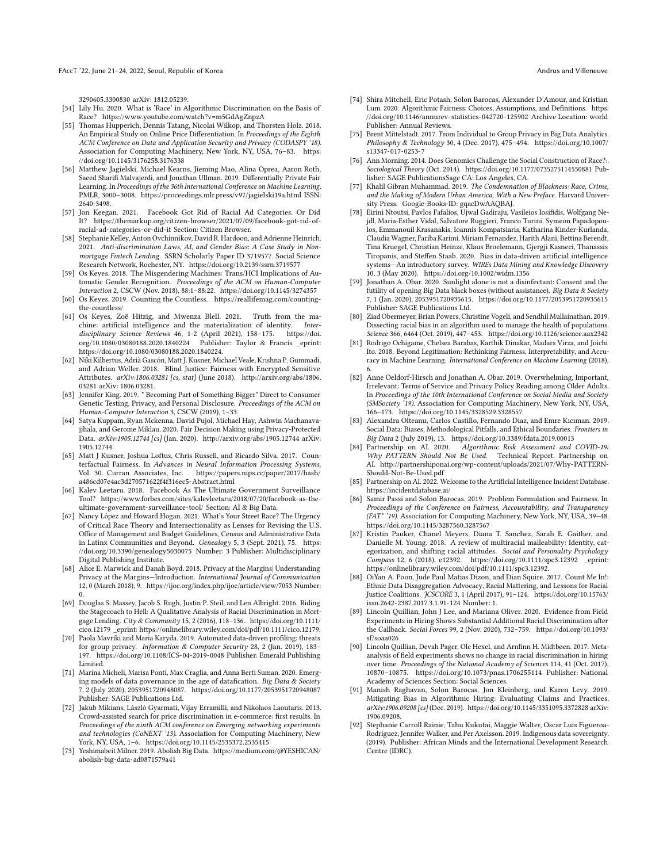#### FAccT '22, June 21-24, 2022, Seoul, Republic of Korea Andrea Andrea Andrea Andrus and Villeneuve

[3290605.3300830](https://doi.org/10.1145/3290605.3300830) arXiv: 1812.05239.

- <span id="page-11-2"></span>[54] Lily Hu. 2020. What is 'Race' in Algorithmic Discrimination on the Basis of Race?<https://www.youtube.com/watch?v=m5GdAgZnpzA>
- <span id="page-11-18"></span>[55] Thomas Hupperich, Dennis Tatang, Nicolai Wilkop, and Thorsten Holz. 2018. An Empirical Study on Online Price Differentiation. In Proceedings of the Eighth ACM Conference on Data and Application Security and Privacy (CODASPY '18). Association for Computing Machinery, New York, NY, USA, 76–83. [https:](https://doi.org/10.1145/3176258.3176338) [//doi.org/10.1145/3176258.3176338](https://doi.org/10.1145/3176258.3176338)
- <span id="page-11-14"></span>[56] Matthew Jagielski, Michael Kearns, Jieming Mao, Alina Oprea, Aaron Roth, Saeed Sharifi Malvajerdi, and Jonathan Ullman. 2019. Differentially Private Fair Learning. In Proceedings of the 36th International Conference on Machine Learning. PMLR, 3000–3008.<https://proceedings.mlr.press/v97/jagielski19a.html> ISSN: 2640-3498.
- <span id="page-11-11"></span>[57] Jon Keegan. 2021. Facebook Got Rid of Racial Ad Categories. Or Did It? [https://themarkup.org/citizen-browser/2021/07/09/facebook-got-rid-of](https://themarkup.org/citizen-browser/2021/07/09/facebook-got-rid-of-racial-ad-categories-or-did-it)[racial-ad-categories-or-did-it](https://themarkup.org/citizen-browser/2021/07/09/facebook-got-rid-of-racial-ad-categories-or-did-it) Section: Citizen Browser.
- <span id="page-11-13"></span>[58] Stephanie Kelley, Anton Ovchinnikov, David R. Hardoon, and Adrienne Heinrich. 2021. Anti-discrimination Laws, AI, and Gender Bias: A Case Study in Nonmortgage Fintech Lending. SSRN Scholarly Paper ID 3719577. Social Science Research Network, Rochester, NY.<https://doi.org/10.2139/ssrn.3719577>
- <span id="page-11-25"></span>[59] Os Keyes. 2018. The Misgendering Machines: Trans/HCI Implications of Automatic Gender Recognition. Proceedings of the ACM on Human-Computer Interaction 2, CSCW (Nov. 2018), 88:1–88:22.<https://doi.org/10.1145/3274357>
- <span id="page-11-3"></span>[60] Os Keyes. 2019. Counting the Countless. [https://reallifemag.com/counting](https://reallifemag.com/counting-the-countless/)[the-countless/](https://reallifemag.com/counting-the-countless/)
- <span id="page-11-24"></span>[61] Os Keyes, Zoë Hitzig, and Mwenza Blell. 2021. Truth from the machine: artificial intelligence and the materialization of identity. Interdisciplinary Science Reviews 46, 1-2 (April 2021), 158–175. [https://doi.](https://doi.org/10.1080/03080188.2020.1840224) [org/10.1080/03080188.2020.1840224](https://doi.org/10.1080/03080188.2020.1840224) Publisher: Taylor & Francis \_eprint: https://doi.org/10.1080/03080188.2020.1840224.
- <span id="page-11-36"></span>[62] Niki Kilbertus, Adrià Gascón, Matt J. Kusner, Michael Veale, Krishna P. Gummadi, and Adrian Weller. 2018. Blind Justice: Fairness with Encrypted Sensitive Attributes. arXiv:1806.03281 [cs, stat] (June 2018). [http://arxiv.org/abs/1806.](http://arxiv.org/abs/1806.03281) [03281](http://arxiv.org/abs/1806.03281) arXiv: 1806.03281.
- <span id="page-11-12"></span>[63] Jennifer King. 2019. " Becoming Part of Something Bigger" Direct to Consumer Genetic Testing, Privacy, and Personal Disclosure. Proceedings of the ACM on Human-Computer Interaction 3, CSCW (2019), 1–33.
- <span id="page-11-15"></span>[64] Satya Kuppam, Ryan Mckenna, David Pujol, Michael Hay, Ashwin Machanavajjhala, and Gerome Miklau. 2020. Fair Decision Making using Privacy-Protected Data. arXiv:1905.12744 [cs] (Jan. 2020).<http://arxiv.org/abs/1905.12744> arXiv: 1905.12744.
- <span id="page-11-8"></span>[65] Matt J Kusner, Joshua Loftus, Chris Russell, and Ricardo Silva. 2017. Counterfactual Fairness. In Advances in Neural Information Processing Systems, Vol. 30. Curran Associates, Inc. [https://papers.nips.cc/paper/2017/hash/](https://papers.nips.cc/paper/2017/hash/a486cd07e4ac3d270571622f4f316ec5-Abstract.html) [a486cd07e4ac3d270571622f4f316ec5-Abstract.html](https://papers.nips.cc/paper/2017/hash/a486cd07e4ac3d270571622f4f316ec5-Abstract.html)
- <span id="page-11-20"></span>[66] Kalev Leetaru. 2018. Facebook As The Ultimate Government Surveillance Tool? [https://www.forbes.com/sites/kalevleetaru/2018/07/20/facebook-as-the](https://www.forbes.com/sites/kalevleetaru/2018/07/20/facebook-as-the-ultimate-government-surveillance-tool/)[ultimate-government-surveillance-tool/](https://www.forbes.com/sites/kalevleetaru/2018/07/20/facebook-as-the-ultimate-government-surveillance-tool/) Section: AI & Big Data.
- <span id="page-11-23"></span>[67] Nancy López and Howard Hogan. 2021. What's Your Street Race? The Urgency of Critical Race Theory and Intersectionality as Lenses for Revising the U.S. Office of Management and Budget Guidelines, Census and Administrative Data in Latinx Communities and Beyond. Genealogy 5, 3 (Sept. 2021), 75. [https:](https://doi.org/10.3390/genealogy5030075) [//doi.org/10.3390/genealogy5030075](https://doi.org/10.3390/genealogy5030075) Number: 3 Publisher: Multidisciplinary Digital Publishing Institute.
- <span id="page-11-38"></span>[68] Alice E. Marwick and Danah Boyd. 2018. Privacy at the Margins| Understanding Privacy at the Margins—Introduction. International Journal of Communication 12, 0 (March 2018), 9.<https://ijoc.org/index.php/ijoc/article/view/7053> Number:
- <span id="page-11-30"></span>0. [69] Douglas S. Massey, Jacob S. Rugh, Justin P. Steil, and Len Albright. 2016. Riding the Stagecoach to Hell: A Qualitative Analysis of Racial Discrimination in Mortgage Lending. City & Community 15, 2 (2016), 118–136. [https://doi.org/10.1111/](https://doi.org/10.1111/cico.12179) [cico.12179](https://doi.org/10.1111/cico.12179) \_eprint: https://onlinelibrary.wiley.com/doi/pdf/10.1111/cico.12179.
- <span id="page-11-21"></span>[70] Paola Mavriki and Maria Karyda. 2019. Automated data-driven profiling: threats for group privacy. Information & Computer Security 28, 2 (Jan. 2019), 183– 197.<https://doi.org/10.1108/ICS-04-2019-0048> Publisher: Emerald Publishing Limited.
- <span id="page-11-37"></span>[71] Marina Micheli, Marisa Ponti, Max Craglia, and Anna Berti Suman. 2020. Emerging models of data governance in the age of datafication. Big Data & Society 7, 2 (July 2020), 2053951720948087.<https://doi.org/10.1177/2053951720948087> Publisher: SAGE Publications Ltd.
- <span id="page-11-19"></span>[72] Jakub Mikians, László Gyarmati, Vijay Erramilli, and Nikolaos Laoutaris. 2013. Crowd-assisted search for price discrimination in e-commerce: first results. In Proceedings of the ninth ACM conference on Emerging networking experiments and technologies (CoNEXT '13). Association for Computing Machinery, New York, NY, USA, 1–6.<https://doi.org/10.1145/2535372.2535415>
- <span id="page-11-35"></span>[73] Yeshimabeit Milner. 2019. Abolish Big Data. [https://medium.com/@YESHICAN/](https://medium.com/@YESHICAN/abolish-big-data-ad0871579a41) [abolish-big-data-ad0871579a41](https://medium.com/@YESHICAN/abolish-big-data-ad0871579a41)
- <span id="page-11-9"></span>[74] Shira Mitchell, Eric Potash, Solon Barocas, Alexander D'Amour, and Kristian Lum. 2020. Algorithmic Fairness: Choices, Assumptions, and Definitions. [https:](https://doi.org/10.1146/annurev-statistics-042720-125902) [//doi.org/10.1146/annurev-statistics-042720-125902](https://doi.org/10.1146/annurev-statistics-042720-125902) Archive Location: world Publisher: Annual Reviews.
- <span id="page-11-22"></span>[75] Brent Mittelstadt. 2017. From Individual to Group Privacy in Big Data Analytics. Philosophy & Technology 30, 4 (Dec. 2017), 475–494. [https://doi.org/10.1007/](https://doi.org/10.1007/s13347-017-0253-7) [s13347-017-0253-7](https://doi.org/10.1007/s13347-017-0253-7)
- <span id="page-11-33"></span>[76] Ann Morning. 2014. Does Genomics Challenge the Social Construction of Race?:. Sociological Theory (Oct. 2014).<https://doi.org/10.1177/0735275114550881> Publisher: SAGE PublicationsSage CA: Los Angeles, CA.
- <span id="page-11-34"></span>[77] Khalil Gibran Muhammad. 2019. The Condemnation of Blackness: Race, Crime, and the Making of Modern Urban America, With a New Preface. Harvard University Press. Google-Books-ID: gqacDwAAQBAJ.
- <span id="page-11-4"></span>[78] Eirini Ntoutsi, Pavlos Fafalios, Ujwal Gadiraju, Vasileios Iosifidis, Wolfgang Nejdl, Maria-Esther Vidal, Salvatore Ruggieri, Franco Turini, Symeon Papadopoulos, Emmanouil Krasanakis, Ioannis Kompatsiaris, Katharina Kinder-Kurlanda, Claudia Wagner, Fariba Karimi, Miriam Fernandez, Harith Alani, Bettina Berendt, Tina Kruegel, Christian Heinze, Klaus Broelemann, Gjergji Kasneci, Thanassis Tiropanis, and Steffen Staab. 2020. Bias in data-driven artificial intelligence systems—An introductory survey. WIREs Data Mining and Knowledge Discovery 10, 3 (May 2020).<https://doi.org/10.1002/widm.1356>
- <span id="page-11-27"></span>[79] Jonathan A. Obar. 2020. Sunlight alone is not a disinfectant: Consent and the futility of opening Big Data black boxes (without assistance). Big Data & Society 7, 1 (Jan. 2020), 2053951720935615.<https://doi.org/10.1177/2053951720935615> Publisher: SAGE Publications Ltd.
- <span id="page-11-0"></span>[80] Ziad Obermeyer, Brian Powers, Christine Vogeli, and Sendhil Mullainathan. 2019. Dissecting racial bias in an algorithm used to manage the health of populations. Science 366, 6464 (Oct. 2019), 447–453.<https://doi.org/10.1126/science.aax2342>
- <span id="page-11-7"></span>[81] Rodrigo Ochigame, Chelsea Barabas, Karthik Dinakar, Madars Virza, and Joichi Ito. 2018. Beyond Legitimation: Rethinking Fairness, Interpretability, and Accuracy in Machine Learning. International Conference on Machine Learning (2018),
- <span id="page-11-28"></span>6. [82] Anne Oeldorf-Hirsch and Jonathan A. Obar. 2019. Overwhelming, Important, Irrelevant: Terms of Service and Privacy Policy Reading among Older Adults. In Proceedings of the 10th International Conference on Social Media and Society (SMSociety '19). Association for Computing Machinery, New York, NY, USA, 166–173.<https://doi.org/10.1145/3328529.3328557>
- <span id="page-11-5"></span>[83] Alexandra Olteanu, Carlos Castillo, Fernando Diaz, and Emre Kıcıman. 2019. Social Data: Biases, Methodological Pitfalls, and Ethical Boundaries. Frontiers in Big Data 2 (July 2019), 13.<https://doi.org/10.3389/fdata.2019.00013>
- <span id="page-11-26"></span>[84] Partnership on AI. 2020. Algorithmic Risk Assessment and COVID-19: Why PATTERN Should Not Be Used. Technical Report. Partnership on AI. [http://partnershiponai.org/wp-content/uploads/2021/07/Why-PATTERN-](http://partnershiponai.org/wp-content/uploads/2021/07/Why-PATTERN-Should-Not-Be-Used.pdf)[Should-Not-Be-Used.pdf](http://partnershiponai.org/wp-content/uploads/2021/07/Why-PATTERN-Should-Not-Be-Used.pdf)
- <span id="page-11-10"></span>[85] Partnership on AI. 2022. Welcome to the Artificial Intelligence Incident Database. <https://incidentdatabase.ai/>
- <span id="page-11-6"></span>[86] Samir Passi and Solon Barocas. 2019. Problem Formulation and Fairness. In Proceedings of the Conference on Fairness, Accountability, and Transparency (FAT\* '19). Association for Computing Machinery, New York, NY, USA, 39–48. <https://doi.org/10.1145/3287560.3287567>
- <span id="page-11-32"></span>[87] Kristin Pauker, Chanel Meyers, Diana T. Sanchez, Sarah E. Gaither, and Danielle M. Young. 2018. A review of multiracial malleability: Identity, categorization, and shifting racial attitudes. Social and Personality Psychology Compass 12, 6 (2018), e12392.<https://doi.org/10.1111/spc3.12392> \_eprint: https://onlinelibrary.wiley.com/doi/pdf/10.1111/spc3.12392.
- <span id="page-11-31"></span>[88] OiYan A. Poon, Jude Paul Matias Dizon, and Dian Squire. 2017. Count Me In!: Ethnic Data Disaggregation Advocacy, Racial Mattering, and Lessons for Racial Justice Coalitions. JCSCORE 3, 1 (April 2017), 91–124. [https://doi.org/10.15763/](https://doi.org/10.15763/issn.2642-2387.2017.3.1.91-124) [issn.2642-2387.2017.3.1.91-124](https://doi.org/10.15763/issn.2642-2387.2017.3.1.91-124) Number: 1.
- <span id="page-11-16"></span>[89] Lincoln Quillian, John J Lee, and Mariana Oliver. 2020. Evidence from Field Experiments in Hiring Shows Substantial Additional Racial Discrimination after the Callback. Social Forces 99, 2 (Nov. 2020), 732–759. [https://doi.org/10.1093/](https://doi.org/10.1093/sf/soaa026) [sf/soaa026](https://doi.org/10.1093/sf/soaa026)
- <span id="page-11-17"></span>[90] Lincoln Quillian, Devah Pager, Ole Hexel, and Arnfinn H. Midtbøen. 2017. Metaanalysis of field experiments shows no change in racial discrimination in hiring over time. Proceedings of the National Academy of Sciences 114, 41 (Oct. 2017), 10870–10875.<https://doi.org/10.1073/pnas.1706255114> Publisher: National Academy of Sciences Section: Social Sciences.
- <span id="page-11-1"></span>[91] Manish Raghavan, Solon Barocas, Jon Kleinberg, and Karen Levy. 2019. Mitigating Bias in Algorithmic Hiring: Evaluating Claims and Practices. arXiv:1906.09208 [cs] (Dec. 2019).<https://doi.org/10.1145/3351095.3372828> arXiv: 1906.09208.
- <span id="page-11-29"></span>[92] Stephanie Carroll Rainie, Tahu Kukutai, Maggie Walter, Oscar Luis Figueroa-Rodríguez, Jennifer Walker, and Per Axelsson. 2019. Indigenous data sovereignty. (2019). Publisher: African Minds and the International Development Research Centre (IDRC).